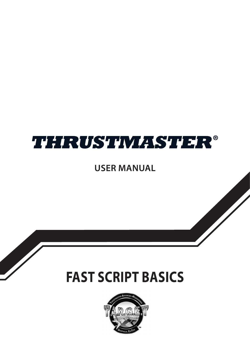# **THRUSTMASTER®**

**USER MANUAL** 

# **FAST SCRIPT BASICS**

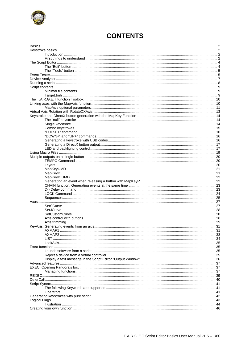

# **CONTENTS**

<span id="page-1-0"></span>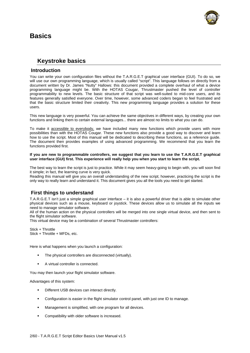# <span id="page-2-0"></span>**Basics**



# **Keystroke basics**

### <span id="page-2-1"></span>**Introduction**

<span id="page-2-2"></span>You can write your own configuration files without the T.A.R.G.E.T graphical user interface (GUI). To do so, we will use our own programming language, which is usually called "script". This language follows on directly from a document written by Dr. James "Nutty" Hallows: this document provided a complete overhaul of what a device programming language might be. With the HOTAS Cougar, Thrustmaster pushed the level of controller programmability to new levels. The basic structure of that script was well-suited to mid-core users, and its features generally satisfied everyone. Over time, however, some advanced coders began to feel frustrated and that the basic structure limited their creativity. This new programming language provides a solution for these users.

This new language is very powerful. You can achieve the same objectives in different ways, by creating your own functions and linking them to certain external languages... there are almost no limits to what you can do.

To make it accessible to everybody, we have included many new functions which provide users with more possibilities than with the HOTAS Cougar. These new functions also provide a good way to discover and learn how to use the script. Most of this manual will be dedicated to describing these functions, as a reference guide. The document then provides examples of using advanced programming. We recommend that you learn the functions provided first.

#### **If you are new to programmable controllers, we suggest that you learn to use the T.A.R.G.E.T graphical user interface (GUI) first. This experience will really help you when you start to learn the script.**

The best way to learn the script is just to practice. While it may seem heavy-going to begin with, you will soon find it simple; in fact, the learning curve is very quick.

Reading this manual will give you an overall understanding of the new script; however, practicing the script is the only way to really learn and understand it. This document gives you all the tools you need to get started.

# <span id="page-2-3"></span>**First things to understand**

T.A.R.G.E.T isn't just a simple graphical user interface – it is also a powerful driver that is able to simulate other physical devices such as a mouse, keyboard or joystick. These devices allow us to simulate all the inputs we need to manage simulator software.

All of the human action on the physical controllers will be merged into one single virtual device, and then sent to the flight simulator software.

This virtual device may be a combination of several Thrustmaster controllers:

Stick + Throttle Stick + Throttle + MFDs, etc.

Here is what happens when you launch a configuration:

- The physical controllers are disconnected (virtually).
- A virtual controller is connected.

You may then launch your flight simulator software.

Advantages of this system:

- Different USB devices can interact directly.
- Configuration is easier in the flight simulator control panel, with just one ID to manage.
- Management is simplified, with one program for all devices.
- Compatibility with older software is increased.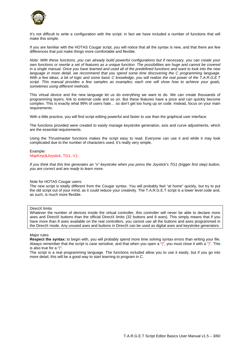

It's not difficult to write a configuration with the script; in fact we have included a number of functions that will make this simple.

If you are familiar with the HOTAS Cougar script, you will notice that all the syntax is new, and that there are few differences that just make things more comfortable and flexible.

*Note: With these functions, you can already build powerful configurations but if necessary, you can create your own functions or rewrite a set of features as a unique function. The possibilities are huge and cannot be covered in a single manual. Once you have learned and used all of the predefined functions and want to look into the new*  language in more detail, we recommend that you spend some time discovering the C programming language. *With a few ideas, a bit of logic and some basic C knowledge, you will realize the real power of the T.A.R.G.E.T script. This manual provides a few samples as examples; each one will show how to achieve your goals, sometimes using different methods.* 

This virtual device and the new language let us do everything we want to do. We can create thousands of programming layers, link to external code and so on. But these features have a price and can quickly become complex. This is exactly what 99% of users hate… so don't get too hung up on code. Instead, focus on your main requirements.

With a little practice, you will find script editing powerful and faster to use than the graphical user interface.

The functions provided were created to easily manage keystroke generation, axis and curve adjustments, which are the essential requirements.

Using the Thrustmaster functions makes the script easy to read. Everyone can use it and while it may look complicated due to the number of characters used, it's really very simple.

Example: MapKey(&Joystick, TG1, 'x');

*If you think that this line generates an "x" keystroke when you press the Joystick's TG1 (trigger first step) button, you are correct and are ready to learn more.* 

### Note for HOTAS Cougar users:

The new script is totally different from the Cougar syntax. You will probably feel "at home" quickly, but try to put the old script out of your mind, as it could reduce your creativity. The T.A.R.G.E.T script is a lower level code and, as such, is much more flexible.

### DirectX limits

Whatever the number of devices inside the virtual controller, this controller will never be able to declare more axes and DirectX buttons than the official DirectX limits (32 buttons and 8 axes). This simply means that if you have more than 8 axes available on the real controllers, you cannot use all the buttons and axes programmed in the DirectX mode. Any unused axes and buttons in DirectX can be used as digital axes and keystroke generators.

Major rules:

**Respect the syntax:** to begin with, you will probably spend more time solving syntax errors than writing your file. Always remember that the script is case sensitive, and that when you open a "(", you must close it with a ")". This is also true for a "{".

The script is a real programming language. The functions included allow you to use it easily, but if you go into more detail, this will be a good way to start learning to program in C.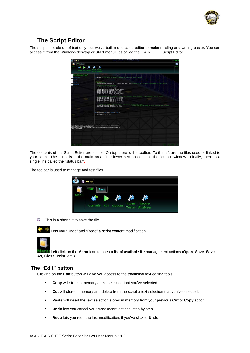

# **The Script Editor**

<span id="page-4-0"></span>The script is made up of text only, but we've built a dedicated editor to make reading and writing easier. You can access it from the Windows desktop or **Start** menuL it's called the T.A.R.G.E.T Script Editor.

| <b>TAXTING</b><br>srgetalnimai teo?<br><b>ELECTRIC</b><br>ARE MAIN (2) (2) (3) (1) alter the physical devices and revers the cletual meered.<br>$-100$<br>(finitialweatHendle)) neturn in<br>// Outlies the synct headler, metum of error<br><b>Children</b><br>Mag. bey events<br>SetfliftButtoniaJeposick, St. «Theostic, SfF, ESt. BSH11// define 31 of /I/O subink, BSF/BOUTER or AUSUS pound<br>PELSON<br>Adrel to virtual said seguing<br>Magdaxia (adeputack, JOTE, DE R. AKES)  <br>Magdaxia (adeputack, JOTE, DE Y. AKES)  <br>Magdaxia (adeputack, THE LOTT, DE 2007 AKES)  <br>Magdaxia (adeputack, THE RIGHT, DE 2007 AKES)  <br>Magdels (atheority, fick, DK KOUT ARTS) /<br>MapAsis(aThroutle, SCT, DK YSOT ANIS);<br>MapAxistaThrottie, THR PC, IN SLIDER ARTS! /<br>J/ Centered Sale Cartex (involte), exis, Seft deedsma, secter Bradsma, studi deedsma, coste, enale)<br>SetSCurve(aJuyetisk, JOSX, 0, 0, 0, 0, 0);<br>Benittmewe(adoprance, JUSY, 0, 0, 0, 0, 0); | GT X |
|--------------------------------------------------------------------------------------------------------------------------------------------------------------------------------------------------------------------------------------------------------------------------------------------------------------------------------------------------------------------------------------------------------------------------------------------------------------------------------------------------------------------------------------------------------------------------------------------------------------------------------------------------------------------------------------------------------------------------------------------------------------------------------------------------------------------------------------------------------------------------------------------------------------------------------------------------------------------------------------|------|
|                                                                                                                                                                                                                                                                                                                                                                                                                                                                                                                                                                                                                                                                                                                                                                                                                                                                                                                                                                                      |      |
|                                                                                                                                                                                                                                                                                                                                                                                                                                                                                                                                                                                                                                                                                                                                                                                                                                                                                                                                                                                      |      |
|                                                                                                                                                                                                                                                                                                                                                                                                                                                                                                                                                                                                                                                                                                                                                                                                                                                                                                                                                                                      |      |
| SenSCurve (aTheontie, SCK, 0, 15, 0, 0, 0);<br>SetSCurve (sThrottle, SCY, 0, 15, 0, 0, 0);<br>SetStarve (albestin, THE FC, 1, 9, 9, 9, 91)<br>7 Silder and College (1) (2001), 2011, 3 (receivation, meaned and value);<br>SetXurve (ERSHALL), TEN (2007, 30, 30); (2013 of the physics<br>public of the physical camps as \$20 of the asts value + linear<br>Prentmanilelint type, allas a, lat al<br>DefaultMappingino, all                                                                                                                                                                                                                                                                                                                                                                                                                                                                                                                                                        |      |
| Conded plugin module "CriProgress Files (s96)iThrustmaster\FRST\Fluginsisys.dll"<br>Compiling script: targetmininal.tmc<br>Happed plugin modale "Crifengram Files (aid) (Thractmarter\Fall\Fingins\rys.dll"<br>Compile Succeeded.                                                                                                                                                                                                                                                                                                                                                                                                                                                                                                                                                                                                                                                                                                                                                    |      |
| <b>RELIA AUCORRITUS</b><br>Line: at Column of                                                                                                                                                                                                                                                                                                                                                                                                                                                                                                                                                                                                                                                                                                                                                                                                                                                                                                                                        |      |

The contents of the Script Editor are simple. On top there is the toolbar. To the left are the files used or linked to your script. The script is in the main area. The lower section contains the "output window". Finally, there is a single line called the "status bar".

The toolbar is used to manage and test files.

|      | $\overline{\phantom{a}}$ |                     |                                 |  |
|------|--------------------------|---------------------|---------------------------------|--|
| enti | <b>Tools</b><br>Edit     |                     |                                 |  |
|      |                          | Compile Run Options | Event Device<br>Tester Analyzer |  |

 $\Box$  This is a shortcut to save the file.



**Lets you "Undo" and "Redo" a script content modification.** 



 Left-click on the **Menu** icon to open a list of available file management actions (**Open**, **Save**, **Save As**, **Close**, **Print**, etc.).

# <span id="page-4-1"></span>**The "Edit" button**

Clicking on the **Edit** button will give you access to the traditional text editing tools:

- **Copy** will store in memory a text selection that you've selected.
- **Cut** will store in memory and delete from the script a text selection that you've selected.
- **Paste** will insert the text selection stored in memory from your previous **Cut** or **Copy** action.
- **Undo** lets you cancel your most recent actions, step by step.
- **Redo** lets you redo the last modification, if you've clicked **Undo**.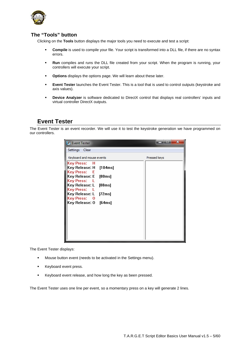

# <span id="page-5-0"></span>**The "Tools" button**

Clicking on the **Tools** button displays the major tools you need to execute and test a script:

- **Compile** is used to compile your file. Your script is transformed into a DLL file, if there are no syntax errors.
- **Run** compiles and runs the DLL file created from your script. When the program is running, your controllers will execute your script.
- **Options** displays the options page. We will learn about these later.
- **Event Tester** launches the Event Tester. This is a tool that is used to control outputs (keystroke and axis values).
- **PED 1** Device Analyzer is software dedicated to DirectX control that displays real controllers' inputs and virtual controller DirectX outputs.

# **Event Tester**

<span id="page-5-1"></span>The Event Tester is an event recorder. We will use it to test the keystroke generation we have programmed on our controllers.

| <b>5</b> Event Tester                                                                                                                                                           | $\mathbf x$  |
|---------------------------------------------------------------------------------------------------------------------------------------------------------------------------------|--------------|
| Settings Clear                                                                                                                                                                  |              |
| Keyboard and mouse events                                                                                                                                                       | Pressed keys |
| Key Press: H<br>Key Release: H [104ms]<br>Key Press: E<br>Key Release: E [80ms]<br>Key Press:<br>Key Release: L [88ms]<br>Key Press: L<br>Key Release: L [72ms]<br>Key Press: 0 |              |
| Key Release: 0 [64ms]                                                                                                                                                           |              |

The Event Tester displays:

- Mouse button event (needs to be activated in the Settings menu).
- Keyboard event press.
- Keyboard event release, and how long the key as been pressed.

The Event Tester uses one line per event, so a momentary press on a key will generate 2 lines.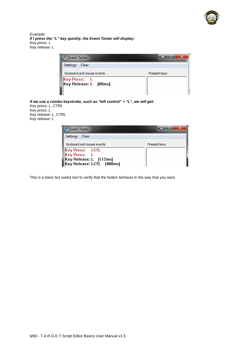

*Example: If I press the "L" key quickly, the Event Tester will display: Key press: L Key release: L* 

| Pressed keys |
|--------------|
|              |
|              |

*If we use a combo keystroke, such as "left control" + "L", we will get: Key press: L\_CTRL Key press: L Key release: L\_CTRL Key release: L* 

| <b>Event Tester</b>                                 |              |
|-----------------------------------------------------|--------------|
| <b>Settings</b><br>- Clear                          |              |
| Keyboard and mouse events                           | Pressed keys |
| <b>Key Press:</b> LCTL<br>Key Press: L              |              |
|                                                     |              |
|                                                     |              |
| Key Release: L [112ms]<br>Key Release: LCTL [488ms] |              |

This is a basic but useful tool to verify that the button behaves in the way that you want.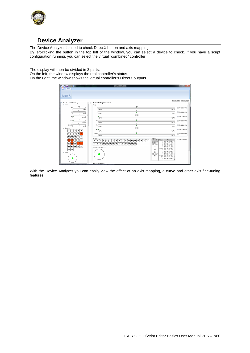

# **Device Analyzer**

<span id="page-7-0"></span>The Device Analyzer is used to check DirectX button and axis mapping. By left-clicking the button in the top left of the window, you can select a device to check. If you have a script configuration running, you can select the virtual "combined" controller.

The display will then be divided in 2 parts:

On the left, the window displays the real controller's status. On the right, the window shows the virtual controller's DirectX outputs.

| $-0.001$<br>Home                                                                                                | <b>IZSMATTACSVA</b>                                                                                                                                                                                                                                                                                                                                                               | <b>START AND IN</b>                                                                                                                                                                                                                                        |  |
|-----------------------------------------------------------------------------------------------------------------|-----------------------------------------------------------------------------------------------------------------------------------------------------------------------------------------------------------------------------------------------------------------------------------------------------------------------------------------------------------------------------------|------------------------------------------------------------------------------------------------------------------------------------------------------------------------------------------------------------------------------------------------------------|--|
| <b>Enumerate HID</b><br>Devices (Ctrl + E)                                                                      |                                                                                                                                                                                                                                                                                                                                                                                   |                                                                                                                                                                                                                                                            |  |
| B Throttle - HOTAS Warthog                                                                                      | Hotas Warthog Combined                                                                                                                                                                                                                                                                                                                                                            | Record to file<br>Create graph                                                                                                                                                                                                                             |  |
| $=$ (s)<br>iii Axes<br>512<br>τ<br>х<br>1023<br>A                                                               | Axes<br>146<br>w<br>x<br>$-32767$                                                                                                                                                                                                                                                                                                                                                 | D Record events<br>32767                                                                                                                                                                                                                                   |  |
| 512<br>o<br>Y<br>1023<br>Ø.<br>٥                                                                                | $-74$<br>ñ<br>٧<br>$-32767$<br>$-32766$                                                                                                                                                                                                                                                                                                                                           | P Record events<br>32767                                                                                                                                                                                                                                   |  |
| 20<br>16383<br>ñ<br>o<br>Rz B                                                                                   | $Z$ $\overline{u}$<br>$-32767$<br>o<br>ŵ<br>Rx                                                                                                                                                                                                                                                                                                                                    | V Record events<br>32767<br>V Record events                                                                                                                                                                                                                |  |
| 16383<br>512<br>ø<br>SliderD<br>1023                                                                            | $-32767$<br>o<br>ń<br>Ry<br>$-32767$                                                                                                                                                                                                                                                                                                                                              | 32767<br>Pecord events<br>32767                                                                                                                                                                                                                            |  |
| a Buttons<br>2<br>з<br>$\overline{\mathbf{5}}$<br>1<br>4                                                        | $-32766$<br>Rz ID<br>$-32767$<br>o                                                                                                                                                                                                                                                                                                                                                | P Record events<br>32767                                                                                                                                                                                                                                   |  |
| 7<br>6<br>8<br>$\bullet$<br>10<br>$\vert$ 12<br>13 <sup>1</sup><br>14 15<br>11                                  | 'n<br>Slider0<br>$-32767$                                                                                                                                                                                                                                                                                                                                                         | P Record events<br>32767                                                                                                                                                                                                                                   |  |
| 18<br>16<br>17<br>19<br>20<br>21<br>22<br>23<br>28<br>24<br>$28$ $29$ 30<br>27<br>26<br>$31 \vert 32$<br>ii POV | Events<br><b>Buttons</b><br>Event<br>I Value<br>12<br>10<br>11<br>13<br>14<br>15 16 17 18<br>1<br>2<br>з<br>5<br>6<br>7<br>ō<br>э<br>٠<br>suttons:<br>Button32<br>25 26<br>$20$ 21<br>22<br>23<br>24<br>27<br>28<br>29<br>$30$ 31<br>32<br>19<br>POU/Hat<br>15<br>x<br>Ÿ<br>Point of View Hat<br>$\boldsymbol{z}$<br>Rx<br>Rv.<br>$R\bar{z}$<br>Slider0<br>Rz<br>$\mathbf x$<br>Y | Record Events<br>Time(ms)<br>$810111136.469 -$<br>10:12:36.469<br>10:12:36.469<br>10:12:36.469<br>$-32766$ 10:12:36.469<br>10:12:36.469<br>10:12:36.469<br>10:12:36.469<br>10:12:36.469<br>$-32766$ 10:12:36.469<br>146 10:12:36.469<br>$-74.10:12:36.469$ |  |
|                                                                                                                 | <b>Michael Kewhoard</b>                                                                                                                                                                                                                                                                                                                                                           |                                                                                                                                                                                                                                                            |  |

With the Device Analyzer you can easily view the effect of an axis mapping, a curve and other axis fine-tuning features.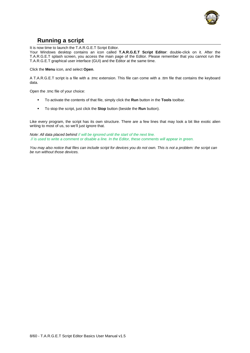

# **Running a script**

<span id="page-8-0"></span>It is now time to launch the T.A.R.G.E.T Script Editor.

Your Windows desktop contains an icon called **T.A.R.G.E.T Script Editor**: double-click on it. After the T.A.R.G.E.T splash screen, you access the main page of the Editor. Please remember that you cannot run the T.A.R.G.E.T graphical user interface (GUI) and the Editor at the same time.

Click the **Menu** icon, and select **Open**.

A T.A.R.G.E.T script is a file with a .tmc extension. This file can come with a .ttm file that contains the keyboard data.

Open the .tmc file of your choice:

- To activate the contents of that file, simply click the **Run** button in the **Tools** toolbar.
- To stop the script, just click the **Stop** button (beside the **Run** button).

Like every program, the script has its own structure. There are a few lines that may look a bit like exotic alien writing to most of us, so we'll just ignore that.

*Note: All data placed behind // will be ignored until the start of the next line. // is used to write a comment or disable a line. In the Editor, these comments will appear in green.* 

*You may also notice that files can include script for devices you do not own. This is not a problem: the script can be run without those devices.*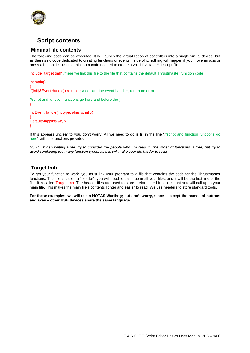

# **Script contents**

### <span id="page-9-0"></span>**Minimal file contents**

<span id="page-9-1"></span>The following code can be executed. It will launch the virtualization of controllers into a single virtual device, but as there's no code dedicated to creating functions or events inside of it, nothing will happen if you move an axis or press a button: it's just the minimum code needed to create a valid T.A.R.G.E.T script file.

include "target.tmh" //here we link this file to the file that contains the default Thrustmaster function code

int main() {

if(Init(&EventHandle)) return 1; // declare the event handler, return on error

```
//script and function functions go here and before the }
} 
int EventHandle(int type, alias o, int x) 
{ 
DefaultMapping(&o, x); 
}
```
If this appears unclear to you, don't worry. All we need to do is fill in the line "//script and function functions go here" with the functions provided.

*NOTE: When writing a file, try to consider the people who will read it. The order of functions is free, but try to avoid combining too many function types, as this will make your file harder to read.* 

# **Target.tmh**

<span id="page-9-2"></span>To get your function to work, you must link your program to a file that contains the code for the Thrustmaster functions. This file is called a "header"; you will need to call it up in all your files, and it will be the first line of the file. It is called Target.tmh. The header files are used to store preformatted functions that you will call up in your main file. This makes the main file's contents lighter and easier to read. We use headers to store standard tools.

**For these examples, we will use a HOTAS Warthog; but don't worry, since – except the names of buttons and axes – other USB devices share the same language.**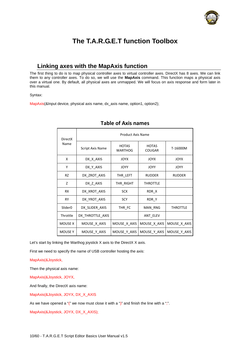

# **The T.A.R.G.E.T function Toolbox**

# **Linking axes with the MapAxis function**

<span id="page-10-1"></span><span id="page-10-0"></span>The first thing to do is to map physical controller axes to virtual controller axes. DirectX has 8 axes. We can link them to any controller axes. To do so, we will use the **MapAxis** command. This function maps a physical axis over a virtual one. By default, all physical axes are unmapped. We will focus on axis response and form later in this manual.

Syntax:

MapAxis(&Input device, physical axis name, dx\_axis name, option1, option2);

| <b>DirectX</b>      | <b>Product Axis Name</b> |                                |                               |                 |  |  |
|---------------------|--------------------------|--------------------------------|-------------------------------|-----------------|--|--|
| Name                | <b>Script Axis Name</b>  | <b>HOTAS</b><br><b>WARTHOG</b> | <b>HOTAS</b><br><b>COUGAR</b> | T-16000M        |  |  |
| X                   | DX X AXIS                | <b>JOYX</b>                    | <b>JOYX</b>                   | <b>JOYX</b>     |  |  |
| Υ                   | DX Y AXIS                | <b>JOYY</b>                    | <b>JOYY</b>                   | <b>JOYY</b>     |  |  |
| <b>RZ</b>           | DX ZROT AXIS             | THR LEFT                       | <b>RUDDER</b>                 | <b>RUDDER</b>   |  |  |
| Z                   | DX Z AXIS                | THR RIGHT                      | <b>THROTTLE</b>               |                 |  |  |
| <b>RX</b>           | DX XROT AXIS             | <b>SCX</b>                     | RDR X                         |                 |  |  |
| <b>RY</b>           | DX YROT AXIS             | <b>SCY</b>                     | RDR Y                         |                 |  |  |
| Slider <sub>0</sub> | DX SLIDER AXIS           | THR FC                         | MAN RNG                       | <b>THROTTLE</b> |  |  |
| Throttle            | DX THROTTLE AXIS         |                                | ANT ELEV                      |                 |  |  |
| <b>MOUSE X</b>      | MOUSE X AXIS             | MOUSE X AXIS                   | MOUSE X AXIS                  | MOUSE X AXIS    |  |  |
| <b>MOUSEY</b>       | MOUSE Y AXIS             | MOUSE Y AXIS                   | MOUSE_Y_AXIS                  | MOUSE_Y_AXIS    |  |  |

# **Table of Axis names**

Let's start by linking the Warthog joystick X axis to the DirectX X axis.

First we need to specify the name of USB controller hosting the axis:

MapAxis(&Joystick,

Then the physical axis name:

MapAxis(&Joystick, JOYX,

And finally, the DirectX axis name:

MapAxis(&Joystick, JOYX, DX\_X\_AXIS

As we have opened a " $($ " we now must close it with a " $)$ " and finish the line with a ";".

MapAxis(&Joystick, JOYX, DX\_X\_AXIS);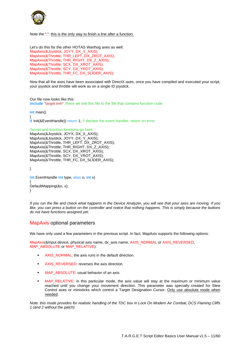

Note the ";": this is the only way to finish a line after a function.

Let's do this for the other HOTAS Warthog axes as well: MapAxis(&Joystick, JOYY, DX\_Y\_AXIS); MapAxis(&Throttle, THR\_LEFT, DX\_ZROT\_AXIS); MapAxis(&Throttle, THR\_RIGHT, DX\_Z\_AXIS); MapAxis(&Throttle, SCX, DX\_XROT\_AXIS); MapAxis(&Throttle, SCY, DX\_YROT\_AXIS); MapAxis(&Throttle, THR\_FC, DX\_SLIDER\_AXIS);

Now that all the axes have been associated with DirectX axes, once you have compiled and executed your script, your joystick and throttle will work as on a single ID joystick.

Our file now looks like this: **include** "target.tmh" //here we link this file to the file that contains function code

**int** main()

{ **if** Init(&EventHandle)) return 1; // declare the event handler, return on error

//script and function functions go here MapAxis(&Joystick, JOYX, DX\_X\_AXIS); MapAxis(&Joystick, JOYY, DX\_Y\_AXIS); MapAxis(&Throttle, THR\_LEFT, DX\_ZROT\_AXIS); MapAxis(&Throttle, THR\_RIGHT, DX\_Z\_AXIS); MapAxis(&Throttle, SCX, DX\_XROT\_AXIS); MapAxis(&Throttle, SCY, DX\_YROT\_AXIS); MapAxis(&Throttle, THR\_FC, DX\_SLIDER\_AXIS);

}

**int** EventHandle **int** type, alias o, **int** x) { DefaultMapping(&o, x); }

*If you run the file and check what happens in the Device Analyzer, you will see that your axes are moving. If you like, you can press a button on the controller and notice that nothing happens. This is simply because the buttons do not have functions assigned yet.* 

### <span id="page-11-0"></span>MapAxis optional parameters

We have only used a few parameters in the previous script. In fact, MapAxis supports the following options:

MapAxis(&Input device, physical axis name, dx\_axis name, AXIS\_NORMAL or AXIS\_REVERSED, MAP\_ABSOLUTE or MAP\_RELATIVE):

- AXIS NORMAL: the axis runs in the default direction.
- AXIS REVERSED: reverses the axis direction.
- **MAP\_ABSOLUTE:** usual behavior of an axis.
- MAP\_RELATIVE: in this particular mode, the axis value will stay at the maximum or minimum value reached until you change your movement direction. This parameter was specially created for Slew Control axes or ministicks which control a Target Designation Cursor. Only use absolute mode when needed.

*Note: this mode provides for realistic handling of the TDC box in Lock On Modern Air Combat, DCS Flaming Cliffs 1 (and 2 without the patch).*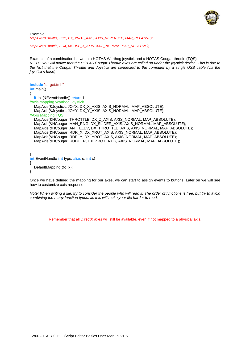

Example: *MapAxis(&Throttle, SCY, DX\_YROT\_AXIS, AXIS\_REVERSED, MAP\_RELATIVE);* 

*MapAxis(&Throttle, SCX, MOUSE\_X\_AXIS, AXIS\_NORMAL, MAP\_RELATIVE);* 

Example of a combination between a HOTAS Warthog joystick and a HOTAS Cougar throttle (TQS). *NOTE: you will notice that the HOTAS Cougar Throttle axes are called up under the joystick device. This is due to the fact that the Cougar Throttle and Joystick are connected to the computer by a single USB cable (via the joystick's base).* 

**include** "target.tmh" **int** main() { **if** Init(&EventHandle)) return 1: //axis mapping Warthog Joystick MapAxis(&Joystick, JOYX, DX\_X\_AXIS, AXIS\_NORMAL, MAP\_ABSOLUTE); MapAxis(&Joystick, JOYY, DX\_Y\_AXIS, AXIS\_NORMAL, MAP\_ABSOLUTE); //Axis Mapping TQS MapAxis(&HCougar, THROTTLE, DX\_Z\_AXIS, AXIS\_NORMAL, MAP\_ABSOLUTE); MapAxis(&HCougar, MAN\_RNG, DX\_SLIDER\_AXIS, AXIS\_NORMAL, MAP\_ABSOLUTE); MapAxis(&HCougar, ANT\_ELEV, DX\_THROTTLE\_AXIS, AXIS\_NORMAL, MAP\_ABSOLUTE); MapAxis(&HCougar, RDR\_X, DX\_XROT\_AXIS, AXIS\_NORMAL, MAP\_ABSOLUTE); MapAxis(&HCougar, RDR\_Y, DX\_YROT\_AXIS, AXIS\_NORMAL, MAP\_ABSOLUTE); MapAxis(&HCougar, RUDDER, DX\_ZROT\_AXIS, AXIS\_NORMAL, MAP\_ABSOLUTE);

```
} 
int EventHandle int type, alias o, int x)
{ 
    DefaultMapping(&o, x); 
}
```
Once we have defined the mapping for our axes, we can start to assign events to buttons. Later on we will see how to customize axis response.

*Note: When writing a file, try to consider the people who will read it. The order of functions is free, but try to avoid combining too many function types, as this will make your file harder to read.* 

Remember that all DirectX axes will still be available, even if not mapped to a physical axis.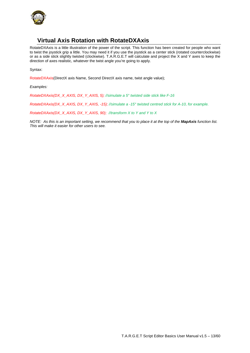

# **Virtual Axis Rotation with RotateDXAxis**

<span id="page-13-0"></span>RotateDXAxis is a little illustration of the power of the script. This function has been created for people who want to twist the joystick grip a little. You may need it if you use the joystick as a center stick (rotated counterclockwise) or as a side stick slightly twisted (clockwise). T.A.R.G.E.T will calculate and project the X and Y axes to keep the direction of axes realistic, whatever the twist angle you're going to apply.

Syntax:

RotateDXAxis(DirectX axis Name, Second DirectX axis name, twist angle value);

*Examples:* 

*RotateDXAxis(DX\_X\_AXIS, DX\_Y\_AXIS, 5); //simulate a 5° twisted side stick like F-16* 

*RotateDXAxis(DX\_X\_AXIS, DX\_Y\_AXIS, -15); //simulate a -15° twisted centred stick for A-10, for example.*

*RotateDXAxis(DX\_X\_AXIS, DX\_Y\_AXIS, 90); //transform X to Y and Y to X*

*NOTE: As this is an important setting, we recommend that you to place it at the top of the MapAxis function list. This will make it easier for other users to see.*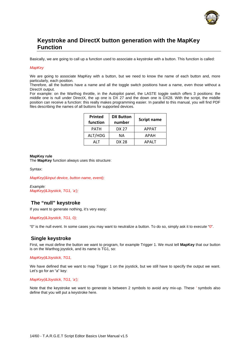

# **Keystroke and DirectX button generation with the MapKey Function**

<span id="page-14-0"></span>Basically, we are going to call up a function used to associate a keystroke with a button. This function is called:

### *MapKey*

We are going to associate MapKey with a button, but we need to know the name of each button and, more particularly, each position.

Therefore, all the buttons have a name and all the toggle switch positions have a name, even those without a DirectX output.

For example: on the Warthog throttle, in the Autopilot panel, the LASTE toggle switch offers 3 positions: the middle one is null under DirectX, the up one is DX 27 and the down one is DX28. With the script, the middle position can receive a function: this really makes programming easier. In parallel to this manual, you will find PDF files describing the names of all buttons for supported devices.

| Printed<br>function | <b>DX Button</b><br>number | <b>Script name</b> |
|---------------------|----------------------------|--------------------|
| PATH                | DX 27                      | <b>APPAT</b>       |
| ALT/HDG             | ΝA                         | APAH               |
| AI T                | DX 28                      | <b>APALT</b>       |

### **MapKey rule**

The **MapKey** function always uses this structure:

Syntax:

*MapKey(&input device, button name, event);* 

*Example: MapKey(&Joystick, TG1, 'a');*

# **The "null" keystroke**

<span id="page-14-1"></span>If you want to generate nothing, it's very easy:

*MapKey(&Joystick, TG1, 0);*

"0" is the null event. In some cases you may want to neutralize a button. To do so, simply ask it to execute "0".

# **Single keystroke**

<span id="page-14-2"></span>First, we must define the button we want to program, for example Trigger 1. We must tell **MapKey** that our button is on the Warthog joystick, and its name is TG1, so:

*MapKey(&Joystick, TG1,* 

We have defined that we want to map Trigger 1 on the joystick, but we still have to specify the output we want. Let's go for an "a" key:

*MapKey(&Joystick, TG1, 'a');*

Note that the keystroke we want to generate is between 2 symbols to avoid any mix-up. These *'* symbols also define that you will put a keystroke here.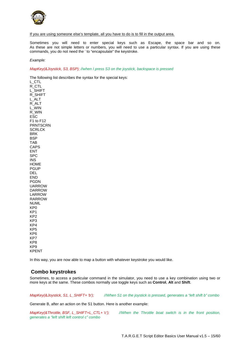

### If you are using someone else's template, all you have to do is to fill in the output area.

Sometimes you will need to enter special keys such as Escape, the space bar and so on. As these are not simple letters or numbers, you will need to use a particular syntax. If you are using these commands, you do not need the ' to "encapsulate" the keystroke.

*Example:* 

*MapKey(&Joystick, S3, BSP); //when I press S3 on the joystick, backspace is pressed*

The following list describes the syntax for the special keys:

L\_CTL R\_CTL L\_SHIFT R\_SHIFT L\_ALT R\_ALT L\_WIN R\_WIN ESC  $F1$  to  $F12$ **PRNTSCRN SCRLCK BRK BSP** TAB 1016 **CAPS** ENT  $SPC$ **INS** HOME **PGUP** DEL END **PGDN UARROW DARROW** LARROW **RARROW NUML**  $KP<sub>0</sub>$  $KP1$  $KP<sub>2</sub>$  $KP3$  $KP4$ KP<sub>5</sub> KP<sub>6</sub> KP7 KP8 KP9 **KPFNT** 

In this way, you are now able to map a button with whatever keystroke you would like.

### <span id="page-15-0"></span>**Combo keystrokes**

Sometimes, to access a particular command in the simulator, you need to use a key combination using two or more keys at the same. These combos normally use toggle keys such as **Control**, **Alt** and **Shift**.

*MapKey(&Joystick, S1, L\_SHIFT+ 'b'); //When S1 on the joystick is pressed, generates a "left shift b" combo* 

Generate B, after an action on the S1 button. Here is another example:

*MapKey(&Throttle, BSF, L\_SHIFT+L\_CTL+ 'c'); //When the Throttle boat switch is in the front position, generates a "left shift left control c" combo*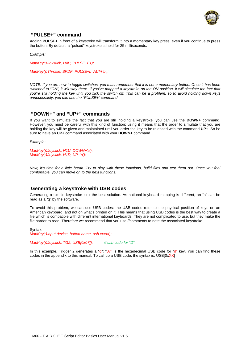

# **"PULSE+" command**

<span id="page-16-0"></span>Adding **PULSE+** in front of a keystroke will transform it into a momentary key press, even if you continue to press the button. By default, a "pulsed" keystroke is held for 25 milliseconds.

*Example:* 

*MapKey(&Joystick, H4P, PULSE+F1);* 

*MapKey(&Throttle, SPDF, PULSE+L\_ALT+'b');* 

*NOTE: If you are new to toggle switches, you must remember that it is not a momentary button. Once it has been switched to "ON", it will stay there. If you've mapped a keystroke on the ON position, it will simulate the fact that you're still holding the key until you flick the switch off. This can be a problem, so to avoid holding down keys unnecessarily, you can use the "PULSE+" command.* 

# **"DOWN+" and "UP+" commands**

<span id="page-16-1"></span>If you want to simulate the fact that you are still holding a keystroke, you can use the **DOWN+** command. However, you must be careful with this kind of function: using it means that the order to simulate that you are holding the key will be given and maintained until you order the key to be released with the command **UP+**. So be sure to have an **UP+** command associated with your **DOWN+** command.

*Example:* 

#### *MapKey(&Joystick, H1U, DOWN+'a'); MapKey(&Joystick, H1D, UP+'a');*

*Now, it's time for a little break. Try to play with these functions, build files and test them out. Once you feel comfortable, you can move on to the next functions.* 

# <span id="page-16-2"></span>**Generating a keystroke with USB codes**

Generating a simple keystroke isn't the best solution. As national keyboard mapping is different, an "a" can be read as a "q" by the software.

To avoid this problem, we can use USB codes: the USB codes refer to the physical position of keys on an American keyboard, and not on what's printed on it. This means that using USB codes is the best way to create a file which is compatible with different international keyboards. They are not complicated to use, but they make the file harder to read. Therefore we recommend that you use //comments to note the associated keystroke.

Syntax:

*MapKey(&input device, button name, usb event);* 

*MapKey(&Joystick, TG2, USB[0x07]); // usb code for "D"* 

In this example, Trigger 2 generates a "d": "07" is the hexadecimal USB code for "d" key. You can find these codes in the appendix to this manual. To call up a USB code, the syntax is: USB[0xXX]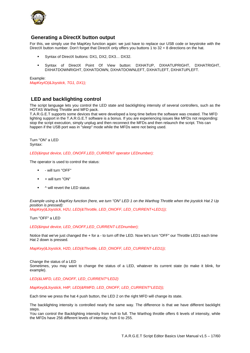

# **Generating a DirectX button output**

<span id="page-17-0"></span>For this, we simply use the MapKey function again: we just have to replace our USB code or keystroke with the DirectX button number. Don't forget that DirectX only offers you buttons 1 to 32 + 8 directions on the hat.

- Syntax of DirectX buttons: DX1, DX2, DX3… DX32.
- Syntax of DirectX Point Of View button: DXHATUP, DXHATUPRIGHT, DXHATRIGHT, DXHATDOWNRIGHT, DXHATDOWN, DXHATDOWNLEFT, DXHATLEFT, DXHATUPLEFT.

Example: *MapKeyIO(&Joystick, TG1, DX1);*

# **LED and backlighting control**

<span id="page-17-1"></span>The script language lets you control the LED state and backlighting intensity of several controllers, such as the HOTAS Warthog Throttle and MFD pack.

T.A.R.G.E.T supports some devices that were developed a long time before the software was created. The MFD lighting support in the T.A.R.G.E.T software is a bonus. If you are experiencing issues like MFDs not responding: stop the script execution, simply unplug and then reconnect the MFDs and then relaunch the script. This can happen if the USB port was in "sleep" mode while the MFDs were not being used.

Turn "ON" a LED Syntax:

*LED(&input device, LED\_ONOFF,LED\_CURRENT operator LEDnumber);* 

The operator is used to control the status:

- will turn "OFF"
- + will turn "ON"
- ^ will revert the LED status

*Example using a MapKey function (here, we turn "ON" LED 1 on the Warthog Throttle when the joystick Hat 2 Up position is pressed): MapKey(&Joystick, H2U, LED(&Throttle, LED\_ONOFF, LED\_CURRENT+LED1));*

Turn "OFF" a LED

*LED(&input device, LED\_ONOFF,LED\_CURRENT-LEDnumber);* 

Notice that we've just changed the + for a - to turn off the LED. Now let's turn "OFF" our Throttle LED1 each time Hat 2 down is pressed.

*MapKey(&Joystick, H2D, LED(&Throttle, LED\_ONOFF, LED\_CURRENT-LED1));*

Change the status of a LED Sometimes, you may want to change the status of a LED, whatever its current state (to make it blink, for example).

*LED(&LMFD, LED\_ONOFF, LED\_CURRENT^LED2)* 

*MapKey(&Joystick, H4P, LED(&RMFD, LED\_ONOFF, LED\_CURRENT^LED2));* 

Each time we press the hat 4 push button, the LED 2 on the right MFD will change its state.

The backlighting intensity is controlled nearly the same way. The difference is that we have different backlight steps.

You can control the Backlighting intensity from null to full. The Warthog throttle offers 6 levels of intensity, while the MFDs have 256 different levels of intensity, from 0 to 255.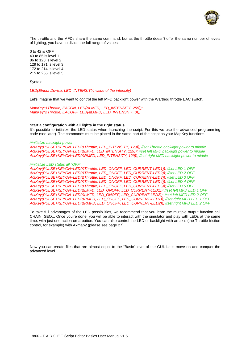

The throttle and the MFDs share the same command, but as the throttle doesn't offer the same number of levels of lighting, you have to divide the full range of values:

0 to 42 is OFF 43 to 85 is level 1 86 to 128 is level 2 129 to 171 is level 3 172 to 214 is level 4 215 to 255 is level 5

Syntax:

*LED(&Input Device, LED\_INTENSITY, value of the intensity)* 

Let's imagine that we want to control the left MFD backlight power with the Warthog throttle EAC switch.

*MapKey(&Throttle, EACON, LED(&LMFD, LED\_INTENSITY, 255)); MapKey(&Throttle, EACOFF, LED(&LMFD, LED\_INTENSITY, 0));* 

#### **Start a configuration with all lights in the right status.**

It's possible to initialize the LED status when launching the script. For this we use the advanced programming code (see later). The commands must be placed in the same part of the script as your MapKey functions.

#### *//initialize backlight power*

*ActKey(PULSE+KEYON+LED(&Throttle, LED\_INTENSITY, 129)); //set Throttle backlight power to middle ActKey(PULSE+KEYON+LED(&LMFD, LED\_INTENSITY, 129)); //set left MFD backlight power to middle ActKey(PULSE+KEYON+LED(&RMFD, LED\_INTENSITY, 129)); //set right MFD backlight power to middle* 

#### *//initialize LED status all "OFF"*

*ActKey(PULSE+KEYON+LED(&Throttle, LED\_ONOFF, LED\_CURRENT-LED1)); //set LED 1 OFF ActKey(PULSE+KEYON+LED(&Throttle, LED\_ONOFF, LED\_CURRENT-LED2)); //set LED 2 OFF ActKey(PULSE+KEYON+LED(&Throttle, LED\_ONOFF, LED\_CURRENT-LED3)); //set LED 3 OFF ActKey(PULSE+KEYON+LED(&Throttle, LED\_ONOFF, LED\_CURRENT-LED4)); //set LED 4 OFF ActKey(PULSE+KEYON+LED(&Throttle, LED\_ONOFF, LED\_CURRENT-LED5)); //set LED 5 OFF ActKey(PULSE+KEYON+LED(&LMFD, LED\_ONOFF, LED\_CURRENT-LED1)); //set left MFD LED 1 OFF ActKey(PULSE+KEYON+LED(&LMFD, LED\_ONOFF, LED\_CURRENT-LED2)); //set left MFD LED 2 OFF ActKey(PULSE+KEYON+LED(&RMFD, LED\_ONOFF, LED\_CURRENT-LED1)); //set right MFD LED 1 OFF ActKey(PULSE+KEYON+LED(&RMFD, LED\_ONOFF, LED\_CURRENT-LED2)); //set right MFD LED 2 OFF*

To take full advantages of the LED possibilities, we recommend that you learn the multiple output function call CHAIN, SEQ... Once you're done, you will be able to interact with the simulator and play with LEDs at the same time, with just one action on a button. You can also control the LED or backlight with an axis (the Throttle friction control, for example) with Axmap2 (please see page 27).

Now you can create files that are almost equal to the "Basic" level of the GUI. Let's move on and conquer the advanced level.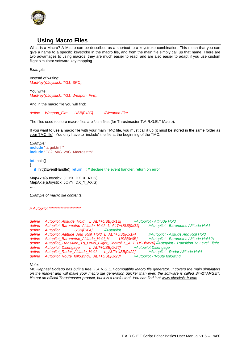

# **Using Macro Files**

<span id="page-19-0"></span>What is a Macro? A Macro can be described as a shortcut to a keystroke combination. This mean that you can give a name to a specific keystroke in the macro file, and from the main file simply call up that name. There are two advantages to using macros: they are much easier to read, and are also easier to adapt if you use custom flight simulator software key mapping.

*Example:* 

Instead of writing: *MapKey(&Joystick, TG1, SPC);* 

You write: *MapKey(&Joystick, TG1, Weapon\_Fire);* 

And in the macro file you will find:

*define Weapon\_Fire USB[0x2C] //Weapon Fire* 

The files used to store macro files are \*.ttm files (for Thrustmaster T.A.R.G.E.T Macro).

If you want to use a macro file with your main TMC file, you must call it up (it must be stored in the same folder as your TMC file). You only have to "include" the file at the beginning of the TMC.

*Example:*  **include** "target.tmh" **include** "FC2\_MIG\_29C\_Macros.ttm"

**int** main()

{

**if** Init(&EventHandle)) **return** : // declare the event handler, return on error

MapAxis(&Joystick, JOYX, DX\_X\_AXIS); MapAxis(&Joystick, JOYY, DX\_Y\_AXIS); ….

*Example of macro file contents:* 

*// Autopilot \*\*\*\*\*\*\*\*\*\*\*\*\*\*\*\*\*\*\*\*\*\** 

*define Autopilot\_Attitude\_Hold L\_ALT+USB[0x1E] //Autopilot - Attitude Hold define Autopilot\_Barometric\_Altitude\_Hold L\_ALT+USB[0x21] //Autopilot - Barometric Altitude Hold define Autopilot USB[0x04] //Autopilot define Autopilot\_Altitude\_And\_Roll\_Hold L\_ALT+USB[0x1F] //Autopilot - Altitude And Roll Hold define Autopilot\_Barometric\_Altitude\_Hold\_H USB[0x0B] //Autopilot - Barometric Altitude Hold 'H' define Autopilot\_Transition\_To\_Level\_Flight\_Control L\_ALT+USB[0x20] //Autopilot - Transition To Level Flight*<br>define Autopilot Disengage L\_ALT+USB[0x26] //Autopilot Disengage define Autopilot\_Disengage L\_ALT+USB[0x26] *define Autopilot\_Radar\_Altitude\_Hold L\_ALT+USB[0x22] //Autopilot - Radar Altitude Hold define Autopilot\_Route\_following L\_ALT+USB[0x23] //Autopilot - 'Route following'* 

*Note:* 

*Mr. Raphael Bodego has built a free, T.A.R.G.E.T-compatible Macro file generator. It covers the main simulators on the market and will make your macro file generation quicker than ever: the software is called Sim2TARGET. It's not an official Thrustmaster product, but it is a useful tool. You can find it at www.checksix-fr.com.*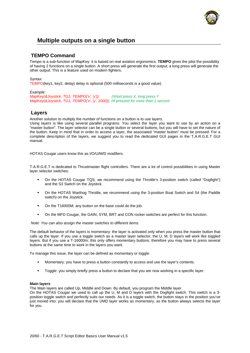

# **Multiple outputs on a single button**

# <span id="page-20-0"></span>**TEMPO Command**

<span id="page-20-1"></span>Tempo is a sub-function of MapKey: it is based on real aviation ergonomics. **TEMPO** gives the pilot the possibility of having 2 functions on a single button. A short press will generate the first output; a long press will generate the other output. This is a feature used on modern fighters.

### Syntax:

TEMPO(key1, key2, delay) delay is optional (500 milliseconds is a good value).

### *Example:*

*MapKey(&Joystick, TG1, TEMPO('x', 'y')); //short press X, long press Y MapKey(&Joystick, TG1, TEMPO('x', 'y', 1000)); //if pressed for more than 1 second* 

# <span id="page-20-2"></span>**Layers**

Another solution to multiply the number of functions on a button is to use layers.

Using layers is like using several parallel programs. You select the layer you want to use by an action on a "master button". The layer selector can be a single button or several buttons, but you will have to set the nature of the button. Keep in mind that in order to access a layer, the associated "master button" must be pressed. For a complete description of the layers, we suggest you to read the dedicated GUI pages in the T.A.R.G.E.T GUI manual.

HOTAS Cougar users know this as I/O/U/M/D modifiers.

T.A.R.G.E.T is dedicated to Thrustmaster flight controllers. There are a lot of control possibilities in using Master layer selector switches:

- On the HOTAS Cougar TQS, we recommend using the Throttle's 3-position switch (called "Dogfight") and the S3 Switch on the Joystick.
- On the HOTAS Warthog Throttle, we recommend using the 3-position Boat Switch and S4 (the Paddle switch) on the Joystick.
- On the T16000M, any button on the base could do the job.
- On the MFD Cougar, the GAIN, SYM, BRT and CON rocker switches are perfect for this function.

*Note: You can also assign the master switches to different items.* 

The default behavior of the layers is momentary: the layer is activated only when you press the master button that calls up the layer. If you use a toggle switch as a master layer selector, the U, M, D layers will work like toggled layers. But if you use a T-16000m, this only offers momentary buttons; therefore you may have to press several buttons at the same time to work in the layers you want.

To manage this issue, the layer can be defined as momentary or toggle:

- Momentary: you have to press a button constantly to access and use the layer's contents.
- **Toggle:** you simply briefly press a button to declare that you are now working in a specific layer.

### **Main layers**

The Main layers are called Up, Middle and Down. By default, you program the Middle layer.

On the HOTAS Cougar we used to call up the U, M and D layers with the Dogfight switch. This switch is a 3 position toggle switch and perfectly suits our needs. As it is a toggle switch, the button stays in the position you've just moved into; you will declare that the UMD layer works as momentary, as the button always selects the layer for you.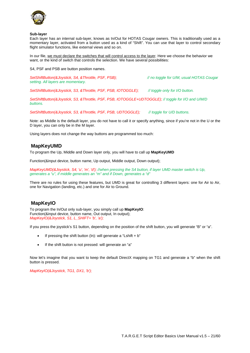

#### **Sub-layer**

Each layer has an internal sub-layer, knows as In/Out for HOTAS Cougar owners. This is traditionally used as a momentary layer, activated from a button used as a kind of "Shift". You can use that layer to control secondary flight simulator functions, like external views and so on.

In our file, we must declare the switches that will control access to the layer. Here we choose the behavior we want, or the kind of switch that controls the selection. We have several possibilities:

S4, PSF and PSB are button position names.

*SetShiftButton(&Joystick, S4, &Throttle, PSF, PSB); // no toggle for U/M, usual HOTAS Cougar setting. All layers are momentary.* 

*SetShiftButton(&Joystick, S3, &Throttle, PSF, PSB, IOTOGGLE); // toggle only for I/O button.* 

*SetShiftButton(&Joystick, S3, &Throttle, PSF, PSB, IOTOGGLE+UDTOGGLE); // toggle for I/O and U/M/D buttons.* 

*SetShiftButton(&Joystick, S3, &Throttle, PSF, PSB, UDTOGGLE); // toggle for U/D buttons.* 

Note: as Middle is the default layer, you do not have to call it or specify anything, since if you're not in the U or the D layer, you can only be in the M layer.

Using layers does not change the way buttons are programmed too much:

# **MapKeyUMD**

<span id="page-21-0"></span>To program the Up, Middle and Down layer only, you will have to call up **MapKeyUMD**

Function(&input device, button name, Up output, Middle output, Down output);

*MapKeyUMD(&Joystick, S4, 'u', 'm', 'd'); //when pressing the S4 button, if layer UMD master switch is Up, generates a "u", if middle generates an "m" and if Down, generates a "d"* 

There are no rules for using these features, but UMD is great for controlling 3 different layers: one for Air to Air, one for Navigation (landing, etc.) and one for Air to Ground.

# **MapKeyIO**

<span id="page-21-1"></span>To program the In/Out only sub-layer, you simply call up **MapKeyIO**: Function(&input device, button name, Out output, In output); *MapKeyIO(&Joystick, S1, L\_SHIFT+ 'b', 'a');* 

If you press the joystick's S1 button, depending on the position of the shift button, you will generate "B" or "a".

- If pressing the shift button (In): will generate a "Lshift  $+ b$ "
- If the shift button is not pressed: will generate an "a"

Now let's imagine that you want to keep the default DirectX mapping on TG1 and generate a "b" when the shift button is pressed.

*MapKeyIO(&Joystick, TG1, DX1, 'b');*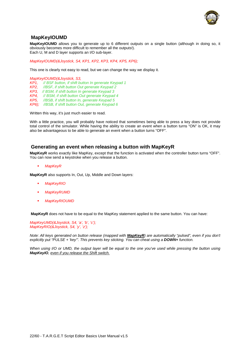

# **MapKeyIOUMD**

<span id="page-22-0"></span>**MapKeyIOUMD** allows you to generate up to 6 different outputs on a single button (although in doing so, it obviously becomes more difficult to remember all the outputs!). Each U, M and D layer supports an I/O sub-layer.

*MapKeyIOUMD(&Joystick, S4, KP1, KP2, KP3, KP4, KP5, KP6);* 

This one is clearly not easy to read, but we can change the way we display it.

*MapKeyIOUMD(&Joystick, S3,* 

*KP1, // BSF button, if shift button In generate Keypad 1*

- *KP2, //BSF, if shift button Out generate Keypad 2*
- *KP3, // BSM, if shift button In generate Keypad 3*
- *KP4, // BSM, if shift button Out generate Keypad 4*
- *KP5, //BSB, if shift button In, generate Keypad 5*
- *KP6); //BSB, if shift button Out, generate Keypad 6*

Written this way, it's just much easier to read.

With a little practice, you will probably have noticed that sometimes being able to press a key does not provide total control of the simulator. While having the ability to create an event when a button turns "ON" is OK, it may also be advantageous to be able to generate an event when a button turns "OFF".

### **Generating an event when releasing a button with MapKeyR**

<span id="page-22-1"></span>**MapKeyR** works exactly like MapKey, except that the function is activated when the controller button turns "OFF". You can now send a keystroke when you release a button.

*MapKeyR* 

**MapKeyR** also supports In, Out, Up, Middle and Down layers:

- *MapKeyRIO*
- *MapKeyRUMD*
- *MapKeyRIOUMD*

**MapKeyR** does not have to be equal to the MapKey statement applied to the same button. You can have:

*MapKeyUMD(&Joystick, S4, 'a', 'b', 'c'); MapKeyRIO(&Joystick, S4, 'y', 'z');* 

*Note: All keys generated on button release (mapped with MapKeyR) are automatically "pulsed", even if you don't explicitly put "PULSE + 'key'". This prevents key sticking. You can cheat using a DOWN+ function.* 

*When using I/O or UMD, the output layer will be equal to the one you've used while pressing the button using MapKeyIO, even if you release the Shift switch.*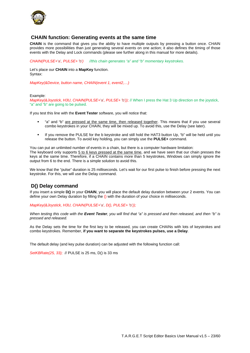

### **CHAIN function: Generating events at the same time**

<span id="page-23-0"></span>**CHAIN** is the command that gives you the ability to have multiple outputs by pressing a button once. CHAIN provides more possibilities than just generating several events on one action; it also defines the timing of those events with the Delay and Lock commands (please see further along in this manual for more details).

*CHAIN(PULSE+*'a'*, PULSE+* 'b'*) //this chain generates "a" and "b" momentary keystrokes.*

Let's place our **CHAIN** into a **MapKey** function. Syntax:

*MapKey(&Device, button name, CHAIN(event 1, event2,…)* 

#### Example:

*MapKey(&Joystick, H3U, CHAIN(PULSE+*'a'*, PULSE+* 'b'*));* // When I press the Hat 3 Up direction on the joystick, "a" and "b" are going to be pulsed.

If you test this line with the **Event Tester** software, you will notice that:

- "a" and "b" are pressed at the same time, then released together. This means that if you use several combo keystrokes in your CHAIN, they will be mixed up. To avoid this, use the Delay (see later).
- If you remove the PULSE for the b keystroke and still hold the HAT3 button Up, "b" will be held until you release the button. To avoid key holding, you can simply use the **PULSE+** command.

You can put an unlimited number of events in a chain, but there is a computer hardware limitation: The keyboard only supports 5 to 6 keys pressed at the same time, and we have seen that our chain presses the keys at the same time. Therefore, if a CHAIN contains more than 5 keystrokes, Windows can simply ignore the output from 6 to the end. There is a simple solution to avoid this.

We know that the "pulse" duration is 25 milliseconds. Let's wait for our first pulse to finish before pressing the next keystroke. For this, we will use the Delay command.

### **D() Delay command**

<span id="page-23-1"></span>If you insert a simple **D()** in your **CHAIN**, you will place the default delay duration between your 2 events. You can define your own Delay duration by filling the () with the duration of your choice in milliseconds.

*MapKey(&Joystick, H3U, CHAIN(PULSE+*'a'*, D(), PULSE+* 'b'*));*

*When testing this code with the Event Tester, you will find that "a" is pressed and then released, and then "b" is pressed and released.* 

As the Delay sets the time for the first key to be released, you can create CHAINs with lots of keystrokes and combo keystrokes. Remember, **if you want to separate the keystrokes pulses, use a Delay**.

The default delay (and key pulse duration) can be adjusted with the following function call:

*SetKBRate(25, 33);* // PULSE is 25 ms, D() is 33 ms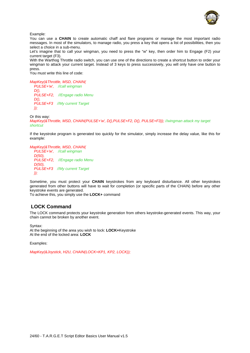

Example:

You can use a **CHAIN** to create automatic chaff and flare programs or manage the most important radio messages. In most of the simulators, to manage radio, you press a key that opens a list of possibilities, then you select a choice in a sub-menu.

Let's imagine that to call your wingman, you need to press the "w" key, then order him to Engage (F2) your current target (F3).

With the Warthog Throttle radio switch, you can use one of the directions to create a shortcut button to order your wingman to attack your current target. Instead of 3 keys to press successively, you will only have one button to press.

You must write this line of code:

*MapKey(&Throttle, MSD, CHAIN( PULSE+'w', //call wingman D(), PULSE+F2, //Engage radio Menu D(), PULSE+F3 //My current Target ));* 

Or this way:

*MapKey(&Throttle, MSD, CHAIN(PULSE+'w', D(),PULSE+F2, D(), PULSE+F3)); //wingman attack my target shortcut*

If the keystroke program is generated too quickly for the simulator, simply increase the delay value, like this for example:

*MapKey(&Throttle, MSD, CHAIN( PULSE+'w', //call wingman D(50), PULSE+F2, //Engage radio Menu D(50), PULSE+F3 //My current Target ));* 

Sometime, you must protect your **CHAIN** keystrokes from any keyboard disturbance. All other keystrokes generated from other buttons will have to wait for completion (or specific parts of the CHAIN) before any other keystroke events are generated.

To achieve this, you simply use the **LOCK+** command

# <span id="page-24-0"></span>**LOCK Command**

The LOCK command protects your keystroke generation from others keystroke-generated events. This way, your chain cannot be broken by another event.

Syntax: At the beginning of the area you wish to lock: **LOCK+**Keystroke At the end of the locked area: **LOCK** 

Examples:

*MapKey(&Joystick, H2U, CHAIN(LOCK+KP1, KP2, LOCK));*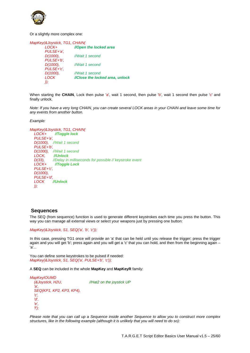

Or a slightly more complex one:

| MapKey(&Joystick, TG1, CHAIN( |                                 |
|-------------------------------|---------------------------------|
| LOCK+                         | //Open the locked area          |
| PULSE+'a',                    |                                 |
| D(1000).                      | //Wait 1 second                 |
| PULSE+'b',                    |                                 |
| D(1000).                      | //Wait 1 second                 |
| PULSE+'c',                    |                                 |
| D(1000).                      | //Wait 1 second                 |
| <b>LOCK</b>                   | //Close the locked area, unlock |
| ));                           |                                 |

When starting the **CHAIN**, Lock then pulse 'a', wait 1 second, then pulse 'b', wait 1 second then pulse 'c' and finally unlock.

*Note: If you have a very long CHAIN, you can create several LOCK areas in your CHAIN and leave some time for any events from another button.* 

*Example:* 

*MapKey(&Joystick, TG1, CHAIN( LOCK+ //Toggle lock PULSE+'a', D(1000), //Wait 1 second PULSE+'b', D(1000), //Wait 1 second LOCK, //Unlock D(33), //Delay in milliseconds for possible // keystroke event LOCK+ //Toggle Lock PULSE+'c', D(1000), PULSE+'d', LOCK //Unlock ));* 

# **Sequences**

<span id="page-25-0"></span>The SEQ (from sequence) function is used to generate different keystrokes each time you press the button. This way you can manage all external views or select your weapons just by pressing one button:

*MapKey(&Joystick, S1, SEQ('a', 'b', 'c'));* 

In this case, pressing TG1 once will provide an 'a' that can be held until you release the trigger; press the trigger again and you will get 'b'; press again and you will get a 'c' that you can hold, and then from the beginning again – 'a'...

You can define some keystrokes to be pulsed if needed: *MapKey(&Joystick, S1, SEQ('a', PULSE+'b', 'c'));* 

A **SEQ** can be included in the whole **MapKey** and **MapKeyR** family:

| MapKeyIOUMD              |                           |
|--------------------------|---------------------------|
| (&Joystick, H2U,         | //Hat2 on the joystick UP |
| 'a'.                     |                           |
| SEQ(KP1, KP2, KP3, KP4), |                           |
| 'c'.                     |                           |
| 'd'.                     |                           |
| 'е'.                     |                           |
| 'f');                    |                           |

*Please note that you can call up a Sequence inside another Sequence to allow you to construct more complex structures, like in the following example (although it is unlikely that you will need to do so):*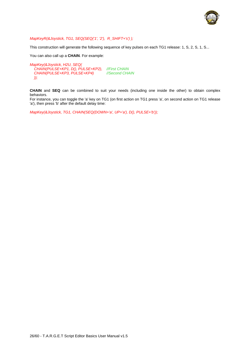

### *MapKeyR(&Joystick, TG1, SEQ(SEQ('1', '2'), R\_SHIFT+'s') );*

This construction will generate the following sequence of key pulses on each TG1 release: 1, S, 2, S, 1, S...

You can also call up a **CHAIN**. For example:

```
MapKey(&Joystick, H2U, SEQ(
   CHAIN(PULSE+KP1, D(), PULSE+KP2), //First CHAIN
   CHAIN(PULSE+KP3, PULSE+KP4) //Second CHAIN
  ));
```
**CHAIN** and **SEQ** can be combined to suit your needs (including one inside the other) to obtain complex behaviors.

For instance, you can toggle the 'a' key on TG1 (on first action on TG1 press 'a', on second action on TG1 release 'a'), then press 'b' after the default delay time:

*MapKey(&Joystick, TG1, CHAIN(SEQ(DOWN+'a', UP+'a'), D(), PULSE+'b'));*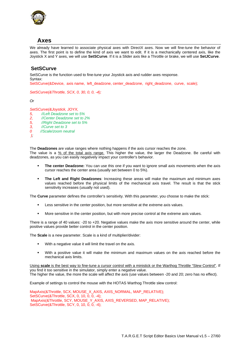

# **Axes**

<span id="page-27-0"></span>We already have learned to associate physical axes with DirectX axes. Now we will fine-tune the behavior of axes. The first point is to define the kind of axis we want to edit. If it is a mechanically centered axis, like the Joystick X and Y axes, we will use **SetSCurve**. If it is a Slider axis like a Throttle or brake, we will use **SetJCurve**.

# **SetSCurve**

<span id="page-27-1"></span>SetSCurve is the function used to fine-tune your Joystick axis and rudder axes response. Syntax:

SetSCurve(&Device, axis name, left\_deadzone, center\_deadzone, right\_deadzone, curve, scale);

*SetSCurve(&Throttle, SCX, 0, 30, 0, 0, -4);* 

*Or* 

*SetSCurve(&Joystick, JOYX,* 

- *5, //Left Deadzone set to 5%*
- *2, //Center Deadzone set to 2%*
- *5, //Right Deadzone set to 5%*
- *3, //Curve set to 3*
- *0 //Scale/zoom neutral*
- *);*

The **Deadzones** are value ranges where nothing happens if the axis cursor reaches the zone.

The value is a  $\frac{96}{20}$  of the total axis range. This higher the value, the larger the Deadzone. Be careful with deadzones, as you can easily negatively impact your controller's behavior.

- **The center Deadzone:** You can use this one if you want to ignore small axis movements when the axis cursor reaches the center area (usually set between 0 to 5%).
- **The Left and Right Deadzones**: Increasing these areas will make the maximum and minimum axes values reached before the physical limits of the mechanical axis travel. The result is that the stick sensitivity increases (usually not used).

The **Curve** parameter defines the controller's sensitivity. With this parameter, you choose to make the stick:

- Less sensitive in the center position, but more sensitive at the extreme axis values.
- More sensitive in the center position, but with more precise control at the extreme axis values.

There is a range of 40 values: -20 to +20. Negative values make the axis more sensitive around the center, while positive values provide better control in the center position.

The **Scale** is a new parameter. Scale is a kind of multiplier/divider:

- With a negative value it will limit the travel on the axis.
- With a positive value it will make the minimum and maximum values on the axis reached before the mechanical axis limits.

Using **scale** is the best way to fine-tune a cursor control with a ministick or the Warthog Throttle "Slew Control". If you find it too sensitive in the simulator, simply enter a negative value. The higher the value, the more the scale will affect the axis (use values between -20 and 20; zero has no effect).

Example of settings to control the mouse with the HOTAS Warthog Throttle slew control:

MapAxis(&Throttle, SCX, MOUSE\_X\_AXIS, AXIS\_NORMAL, MAP\_RELATIVE); SetSCurve(&Throttle, SCX, 0, 10, 0, 0, -4); MapAxis(&Throttle, SCY, MOUSE\_Y\_AXIS, AXIS\_REVERSED, MAP\_RELATIVE); SetSCurve(&Throttle, SCY, 0, 10, 0, 0, -4);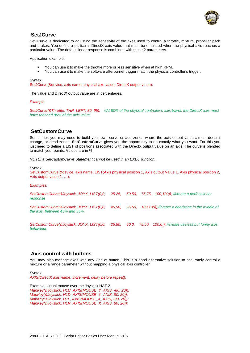

### **SetJCurve**

<span id="page-28-0"></span>SetJCurve is dedicated to adjusting the sensitivity of the axes used to control a throttle, mixture, propeller pitch and brakes. You define a particular DirectX axis value that must be emulated when the physical axis reaches a particular value. The default linear response is combined with these 2 parameters.

Application example:

- You can use it to make the throttle more or less sensitive when at high RPM.
- You can use it to make the software afterburner trigger match the physical controller's trigger.

#### Syntax:

SetJCurve(&device, axis name, physical axe value, DirectX output value);

The value and DirectX output value are in percentages.

*Example:* 

*SetJCurve(&Throttle, THR\_LEFT, 80, 95); //At 80% of the physical controller's axis travel, the DirectX axis must have reached 95% of the axis value.*

# **SetCustomCurve**

<span id="page-28-1"></span>Sometimes you may need to build your own curve or add zones where the axis output value almost doesn't change, or dead zones. **SetCustomCurve** gives you the opportunity to do exactly what you want. For this you just need to define a LIST of positions associated with the DirectX output value on an axis. The curve is blended to match your points. Values are in %.

*NOTE: a SetCustomCurve Statement cannot be used in an EXEC function.* 

Syntax:

SetCustomCurve(&device, axis name, LIST(Axis physical position 1, Axis output Value 1, Axis physical position 2, Axis output value 2, …);

*Examples:* 

| SetCustomCurve(&Joystick, JOYX, LIST(0,0,<br>response                       | 25.25. |        | 50,50, 75,75, 100,100)); //create a perfect linear                                                                                                                                                                                                                                                                |
|-----------------------------------------------------------------------------|--------|--------|-------------------------------------------------------------------------------------------------------------------------------------------------------------------------------------------------------------------------------------------------------------------------------------------------------------------|
| SetCustomCurve(&Joystick, JOYX, LIST(0,0,<br>the axis, between 45% and 55%. | 45.50. | 55.50. | 100,100));//create a deadzone in the middle of                                                                                                                                                                                                                                                                    |
| $C_0/C_0$ atom $C_0/m$ is (8) love tight $C_0/N$ $\downarrow$ $C_0T/2$      | OF EO  | EQ Q   | $75.50$ $100.0$ $\frac{1}{2}$ $\frac{1}{2}$ $\frac{1}{2}$ $\frac{1}{2}$ $\frac{1}{2}$ $\frac{1}{2}$ $\frac{1}{2}$ $\frac{1}{2}$ $\frac{1}{2}$ $\frac{1}{2}$ $\frac{1}{2}$ $\frac{1}{2}$ $\frac{1}{2}$ $\frac{1}{2}$ $\frac{1}{2}$ $\frac{1}{2}$ $\frac{1}{2}$ $\frac{1}{2}$ $\frac{1}{2}$ $\frac{1}{2}$ $\frac{1$ |

*SetCustomCurve(&Joystick, JOYX, LIST(0,0, 25,50, 50,0, 75,50, 100,0)); //create useless but funny axis behaviour.* 

### <span id="page-28-2"></span>**Axis control with buttons**

You may also manage axes with any kind of button. This is a good alternative solution to accurately control a mixture or a range parameter without mapping a physical axis controller.

Syntax: *AXIS(DirectX axis name, increment, delay before repeat);* 

Example: virtual mouse over the Joystick HAT 2 *MapKey(&Joystick, H1U, AXIS(MOUSE\_Y\_AXIS, -80, 20)); MapKey(&Joystick, H1D, AXIS(MOUSE\_Y\_AXIS, 80, 20)); MapKey(&Joystick, H1L, AXIS(MOUSE\_X\_AXIS, -80, 20)); MapKey(&Joystick, H1R, AXIS(MOUSE\_X\_AXIS, 80, 20));*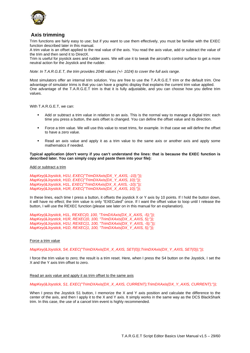

# **Axis trimming**

<span id="page-29-0"></span>Trim functions are fairly easy to use; but if you want to use them effectively, you must be familiar with the EXEC function described later in this manual.

A trim value is an offset applied to the real value of the axis. You read the axis value, add or subtract the value of the trim and then send it to DirectX.

Trim is useful for joystick axes and rudder axes. We will use it to tweak the aircraft's control surface to get a more neutral action for the Joystick and the rudder.

*Note: In T.A.R.G.E.T, the trim provides 2048 values (+/- 1024) to cover the full axis range.* 

Most simulators offer an internal trim solution. You are free to use the T.A.R.G.E.T trim or the default trim. One advantage of simulator trims is that you can have a graphic display that explains the current trim value applied. One advantage of the T.A.R.G.E.T trim is that it is fully adjustable, and you can choose how you define trim values.

With T.A.R.G.E.T, we can:

- Add or subtract a trim value in relation to an axis. This is the normal way to manage a digital trim: each time you press a button, the axis offset is changed. You can define the offset value and its direction.
- Force a trim value. We will use this value to reset trims, for example. In that case we will define the offset to have a zero value.
- Read an axis value and apply it as a trim value to the same axis or another axis and apply some mathematics if needed.

### **Typical application (don't worry if you can't understand the lines: that is because the EXEC function is described later. You can simply copy and paste them into your file):**

Add or subtract a trim

*MapKey(&Joystick, H1U, EXEC("TrimDXAxis(DX\_Y\_AXIS, -10);")); MapKey(&Joystick, H1D, EXEC("TrimDXAxis(DX\_Y\_AXIS, 10);")); MapKey(&Joystick, H1L, EXEC("TrimDXAxis(DX\_X\_AXIS, -10);")); MapKey(&Joystick, H1R, EXEC("TrimDXAxis(DX\_X\_AXIS, 10);"));*

In these lines, each time I press a button, it offsets the joystick X or Y axis by 10 points. If I hold the button down, it will have no effect; the trim value is only "EXECuted" once. If I want the offset value to loop until I release the button, I will use the REXEC function (please see later on in this manual for an explanation).

*MapKey(&Joystick, H1L, REXEC(0, 100, "TrimDXAxis(DX\_X\_AXIS, -5);")); MapKey(&Joystick, H1R, REXEC(0, 100, "TrimDXAxis(DX\_X\_AXIS, 5);")); MapKey(&Joystick, H1U, REXEC(1, 100, "TrimDXAxis(DX\_Y\_AXIS, -5);")); MapKey(&Joystick, H1D, REXEC(1, 100, "TrimDXAxis(DX\_Y\_AXIS, 5);"));* 

### Force a trim value

*MapKey(&Joystick, S4, EXEC("TrimDXAxis(DX\_X\_AXIS, SET(0));TrimDXAxis(DX\_Y\_AXIS, SET(0));"));* 

I force the trim value to zero; the result is a trim reset. Here, when I press the S4 button on the Joystick, I set the X and the Y axis trim offset to zero.

#### Read an axis value and apply it as trim offset to the same axis

*MapKey(&Joystick, S1, EXEC("TrimDXAxis(DX\_X\_AXIS, CURRENT);TrimDXAxis(DX\_Y\_AXIS, CURRENT);"));* 

When I press the Joystick S1 button, I memorize the X and Y axis position and calculate the difference to the center of the axis, and then I apply it to the X and Y axis. It simply works in the same way as the DCS BlackShark trim. In this case, the use of a cancel trim event is highly recommended.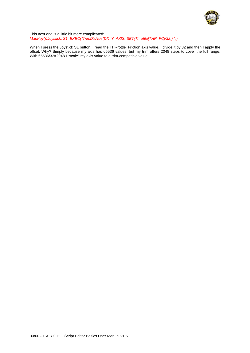

This next one is a little bit more complicated: *MapKey(&Joystick, S1, EXEC("TrimDXAxis(DX\_Y\_AXIS, SET(Throttle[THR\_FC]/32));"));* 

When I press the Joystick S1 button, I read the THRrottle\_Friction axis value, I divide it by 32 and then I apply the offset. Why? Simply because my axis has 65536 values; but my trim offers 2048 steps to cover the full range. With 65536/32=2048 I "scale" my axis value to a trim-compatible value.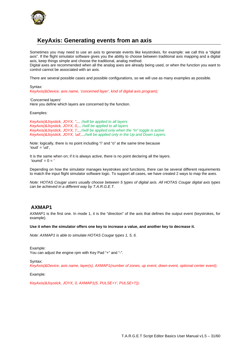

# **KeyAxis: Generating events from an axis**

<span id="page-31-0"></span>Sometimes you may need to use an axis to generate events like keystrokes, for example: we call this a "digital axis". If the flight simulator software gives you the ability to choose between traditional axis mapping and a digital axis, keep things simple and choose the traditional, analog method.

Digital axes are recommended when all the analog axes are already being used, or when the function you want to control cannot be associated with an axis.

There are several possible cases and possible configurations, so we will use as many examples as possible.

Syntax: *KeyAxis(&Device, axis name, 'concerned layer', kind of digital axis program);* 

'Concerned layers' Here you define which layers are concerned by the function.

Examples:

*KeyAxis(&Joystick, JOYX, '',... //will be applied to all layers KeyAxis(&Joystick, JOYX, 0,... //will be applied to all layers KeyAxis(&Joystick, JOYX, 'i',...//will be applied only when the "In" toggle is active KeyAxis(&Joystick, JOYX, 'ud',...//will be applied only in the Up and Down Layers.* 

Note: logically, there is no point including "i" and "o" at the same time because  $'ioud' = 'ud'.$ 

It is the same when on; if it is always active, there is no point declaring all the layers. 'ioumd' =  $0 =$ '

Depending on how the simulator manages keystrokes and functions, there can be several different requirements to match the input flight simulator software logic. To support all cases, we have created 2 ways to map the axes.

*Note: HOTAS Cougar users usually choose between 5 types of digital axis. All HOTAS Cougar digital axis types can be achieved in a different way by T.A.R.G.E.T.* 

# <span id="page-31-1"></span>**AXMAP1**

AXMAP1 is the first one. In mode 1, it is the "direction" of the axis that defines the output event (keystrokes, for example).

**Use it when the simulator offers one key to increase a value, and another key to decrease it.** 

*Note: AXMAP1 is able to simulate HOTAS Cougar types 1, 5, 6.* 

Example: You can adjust the engine rpm with Key Pad "+" and "-".

Syntax: *KeyAxis(&Device, axis name, layer(s), AXMAP1(number of zones, up event, down event, optional center event);* 

Example:

*KeyAxis(&Joystick, JOYX, 0, AXMAP1(5, PULSE+'r', PULSE+'l'));*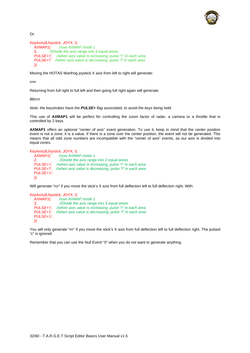

Or:

```
KeyAxis(&Joystick, JOYX, 0, 
   AXMAP1( //use AXMAP mode 1
   5, //Divide the axis range into 5 equal areas
 PULSE+'r', //when axis value is increasing, pulse "r" in each area
 PULSE+'l' //when axis value is decreasing, pulse "l" in each area
   ));
```
Moving the HOTAS Warthog joystick X axis from left to right will generate:

rrrrr

Returning from full right to full left and then going full right again will generate:

lllllrrrrr

*Note: the keystrokes have the PULSE+ flag associated, to avoid the keys being held.* 

This use of **AXMAP1** will be perfect for controlling the zoom factor of radar, a camera or a throttle that is controlled by 2 keys.

**AXMAP1** offers an optional "center of axis" event generation. To use it, keep in mind that the center position event is not a zone, it is a value. If there is a zone over the center position, the event will not be generated. This means that all odd zone numbers are incompatible with the "center of axis" events, as our axis is divided into equal zones.

#### *KeyAxis(&Joystick, JOYX, 0,*

|                              | AXMAP1( //use AXMAP mode 1                                                |
|------------------------------|---------------------------------------------------------------------------|
| 2.                           | //Divide the axis range into 2 equal areas                                |
|                              | <b>PULSE+'r',</b> //when axis value is increasing, pulse "r" in each area |
|                              | <b>PULSE+T.</b> //when axis value is decreasing, pulse "I" in each area   |
| PULSE+'c'.                   |                                                                           |
| $\left( \frac{1}{2} \right)$ |                                                                           |

Will generate "rcr" if you move the stick's X axis from full deflection left to full deflection right. With:

```
KeyAxis(&Joystick, JOYX, 0, 
               AXMAP1( //use AXMAP mode 1
   3, //Divide the axis range into 3 equal areas
   PULSE+'r', //when axis value is increasing, pulse "r" in each area
   PULSE+'l', //when axis value is decreasing, pulse "l" in each area
   PULSE+'c', 
   ));
```
You will only generate "rrr" if you move the stick's X axis from full deflection left to full deflection right. The pulsed "c" is ignored.

Remember that you can use the Null Event "0" when you do not want to generate anything.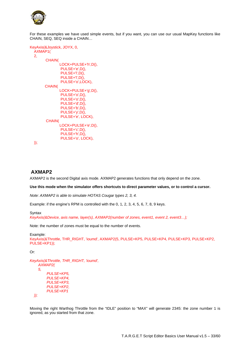

For these examples we have used simple events, but if you want, you can use our usual MapKey functions like CHAIN, SEQ, SEQ inside a CHAIN…

```
KeyAxis(&Joystick, JOYX, 0, 
   AXMAP1( 
   2, 
          CHAIN( 
                   LOCK+PULSE+'h',D(), 
                   PULSE+'e',D(), 
                  PULSE+'l',D(),
                  PULSE+'l',D(),
                   PULSE+'o',LOCK), 
          CHAIN( 
                   LOCK+PULSE+'g',D(), 
                   PULSE+'o',D(), 
                   PULSE+'o',D(), 
                   PULSE+'d',D(), 
                   PULSE+'b',D(), 
                   PULSE+'y',D(), 
                  PULSE+'e', LOCK),
          CHAIN( 
                   LOCK+PULSE+'e',D(), 
                   PULSE+'c',D(), 
                   PULSE+'h',D(), 
                   PULSE+'o', LOCK), 
   ));
```
# **AXMAP2**

<span id="page-33-0"></span>AXMAP2 is the second Digital axis mode. AXMAP2 generates functions that only depend on the zone.

### **Use this mode when the simulator offers shortcuts to direct parameter values, or to control a cursor.**

*Note: AXMAP2 is able to simulate HOTAS Cougar types 2, 3, 4.* 

Example: if the engine's RPM is controlled with the 0, 1, 2, 3, 4, 5, 6, 7, 8, 9 keys.

**Syntax** *KeyAxis(&Device, axis name, layer(s), AXMAP2(number of zones, event1, event 2, event3…);* 

Note: the number of zones must be equal to the number of events.

```
Example: 
KeyAxis(&Throttle, THR_RIGHT, 'ioumd', AXMAP2(5, PULSE+KP5, PULSE+KP4, PULSE+KP3, PULSE+KP2, 
PULSE+KP1));
```
Or:

```
KeyAxis(&Throttle, THR_RIGHT, 'ioumd', 
     AXMAP2( 
     5, 
          PULSE+KP5, 
          PULSE+KP4, 
          PULSE+KP3, 
          PULSE+KP2, 
          PULSE+KP1 
   ));
```
Moving the right Warthog Throttle from the "IDLE" position to "MAX" will generate 2345: the zone number 1 is ignored, as you started from that zone.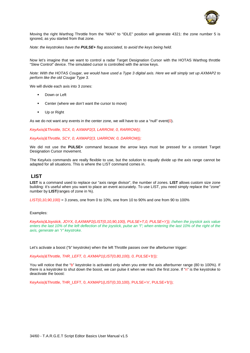

Moving the right Warthog Throttle from the "MAX" to "IDLE" position will generate 4321: the zone number 5 is ignored, as you started from that zone.

*Note: the keystrokes have the PULSE+ flag associated, to avoid the keys being held.* 

Now let's imagine that we want to control a radar Target Designation Cursor with the HOTAS Warthog throttle "Slew Control" device. The simulated cursor is controlled with the arrow keys.

*Note: With the HOTAS Cougar, we would have used a Type 3 digital axis. Here we will simply set up AXMAP2 to perform like the old Cougar Type 3.* 

We will divide each axis into 3 zones:

- Down or Left
- Center (where we don't want the cursor to move)
- **Up or Right**

As we do not want any events in the center zone, we will have to use a "null" event(0).

*KeyAxis(&Throttle, SCX, 0, AXMAP2(3, LARROW, 0, RARROW));* 

*KeyAxis(&Throttle, SCY, 0, AXMAP2(3, UARROW, 0, DARROW));* 

We did not use the **PULSE+** command because the arrow keys must be pressed for a constant Target Designation Cursor movement.

The KeyAxis commands are really flexible to use, but the solution to equally divide up the axis range cannot be adapted for all situations. This is where the LIST command comes in.

### **LIST**

<span id="page-34-0"></span>**LIST** is a command used to replace our "axis range divisor", the number of zones. **LIST** allows custom size zone building: it's useful when you want to place an event accurately. To use LIST, you need simply replace the "zone" number by **LIST**(ranges of zone in %).

*LIST(0,10,90,100)* = 3 zones, one from 0 to 10%, one from 10 to 90% and one from 90 to 100%

#### Examples:

*KeyAxis(&Joystick, JOYX, 0,AXMAP2(LIST(0,10,90,100), PULSE+'l',0, PULSE+'r')); //when the joystick axis value*  enters the last 10% of the left deflection of the joystick, pulse an "l"; when entering the last 10% of the right of the *axis, generate an "r" keystroke.* 

Let's activate a boost ("b" keystroke) when the left Throttle passes over the afterburner trigger:

*KeyAxis(&Throttle, THR\_LEFT, 0, AXMAP1(LIST(0,80,100), 0, PULSE+'b'));* 

You will notice that the "b" keystroke is activated only when you enter the axis afterburner range (80 to 100%). If there is a keystroke to shut down the boost, we can pulse it when we reach the first zone. If "n" is the keystroke to deactivate the boost:

KeyAxis(&Throttle, THR\_LEFT, 0, AXMAP1(LIST(0,33,100), PULSE+'n', PULSE+'b'));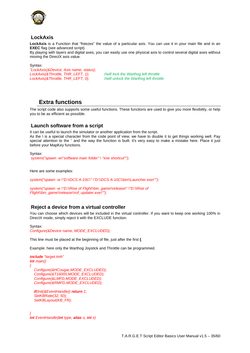

# <span id="page-35-0"></span>**LockAxis**

**LockAxis** is a Function that "freezes" the value of a particular axis. You can use it in your main file and in an **EXEC** flag (see advanced script).

By playing with layers and digital axes, you can easily use one physical axis to control several digital axes without moving the DirectX axis value.

Syntax:

*"LockAxis(&Device, Axis name, status); LockAxis(&Throttle, THR\_LEFT, 1); //will lock the Warthog left throttle LockAxis(&Throttle, THR\_LEFT, 0); //will unlock the Warthog left throttle*

# **Extra functions**

<span id="page-35-1"></span>The script code also supports some useful functions. These functions are used to give you more flexibility, or help you to be as efficient as possible.

# <span id="page-35-2"></span>**Launch software from a script**

It can be useful to launch the simulator or another application from the script. As the \ is a special character from the code point of view, we have to double it to get things working well. Pay special attention to the " and the way the function is built: it's very easy to make a mistake here. Place it just before your MapKey functions.

Syntax:  *system("spawn -w\"software main folder" \ "exe shortcut"");* 

Here are some examples:

*system("spawn -w \"D:\\DCS A-10C\" \"D:\\DCS A-10C\\bin\\Launcher.exe\"");* 

system("spawn -w \"D:\\Rise of Flight\\bin\_game\\release\" \"D:\\Rise of *Flight\\bin\_game\\release\\rof\_updater.exe\"");* 

# <span id="page-35-3"></span>**Reject a device from a virtual controller**

You can choose which devices will be included in the virtual controller. If you want to keep one working 100% in DirectX mode, simply reject it with the EXCLUDE function.

### Syntax:

*Configure(&Device name, MODE\_EXCLUDED);* 

This line must be placed at the beginning of file, just after the first **{**.

Example: here only the Warthog Joystick and Throttle can be programmed.

```
include "target.tmh" 
int main() 
{ 
   Configure(&HCougar,MODE_EXCLUDED); 
   Configure(&T16000,MODE_EXCLUDED); 
   Configure(&LMFD,MODE_EXCLUDED); 
   Configure(&RMFD,MODE_EXCLUDED);
```
 *if(Init(&EventHandle)) return 1; SetKBRate(32, 50); SetKBLayout(KB\_FR);* 

*} int EventHandle(int type, alias o, int x)*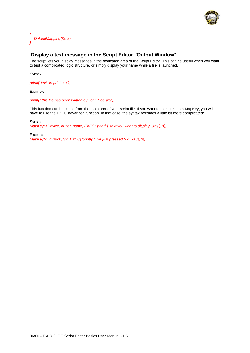

*{ DefaultMapping(&o,x); }* 

# **Display a text message in the Script Editor "Output Window"**

<span id="page-36-0"></span>The script lets you display messages in the dedicated area of the Script Editor. This can be useful when you want to test a complicated logic structure, or simply display your name while a file is launched.

Syntax:

*printf("text to print \xa");* 

Example:

*printf(" this file has been written by John Doe \xa");* 

This function can be called from the main part of your script file. If you want to execute it in a MapKey, you will have to use the EXEC advanced function. In that case, the syntax becomes a little bit more complicated:

Syntax:

*MapKey(&Device, button name, EXEC("printf(\" text you want to display \\xa\");"));* 

Example: *MapKey(&Joystick, S2, EXEC("printf(\" i've just pressed S2 \\xa\");"));*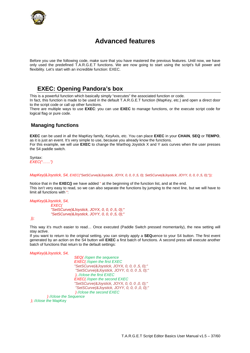

# **Advanced features**

<span id="page-37-0"></span>Before you use the following code, make sure that you have mastered the previous features. Until now, we have only used the predefined T.A.R.G.E.T functions. We are now going to start using the script's full power and flexibility. Let's start with an incredible function: EXEC.

# **EXEC: Opening Pandora's box**

<span id="page-37-1"></span>This is a powerful function which basically simply "executes" the associated function or code.

In fact, this function is made to be used in the default T.A.R.G.E.T function (MapKey, etc.) and open a direct door to the script code or call up other functions.

There are multiple ways to use **EXEC**: you can use **EXEC** to manage functions, or the execute script code for logical flag or pure code.

# <span id="page-37-2"></span>**Managing functions**

**EXEC** can be used in all the MapKey family, KeyAxis, etc. You can place **EXEC** in your **CHAIN**, **SEQ** or **TEMPO**, as it is just an event. It's very simple to use, because you already know the functions. For this example, we will use **EXEC** to change the Warthog Joystick X and Y axis curves when the user presses the S4 paddle switch.

Syntax: *EXEC("……")* 

### *MapKey(&Joystick, S4, EXEC("SetSCurve(&Joystick, JOYX, 0, 0, 0 ,5, 0); SetSCurve(&Joystick, JOYY, 0, 0, 0 ,5, 0);"));*

Notice that in the **EXEC()** we have added " at the beginning of the function list, and at the end. This isn't very easy to read, so we can also separate the functions by jumping to the next line, but we will have to limit all functions with ":

### *MapKey(&Joystick, S4,*

 *EXEC( "SetSCurve(&Joystick, JOYX, 0, 0, 0 ,5, 0);" "SetSCurve(&Joystick, JOYY, 0, 0, 0 ,5, 0);"* 

 *));* 

This way it's much easier to read… Once executed (Paddle Switch pressed momentarily), the new setting will stay active.

If you want to return to the original setting, you can simply apply a **SEQ**uence to your S4 button. The first event generated by an action on the S4 button will **EXEC** a first batch of functions. A second press will execute another batch of functions that return to the default settings:

*MapKey(&Joystick, S4,* 

*SEQ( //open the sequence EXEC( //open the first EXEC "SetSCurve(&Joystick, JOYX, 0, 0, 0 ,5, 0);" "SetSCurve(&Joystick, JOYY, 0, 0, 0 ,5, 0);" ), //close the first EXEC EXEC( //open the second EXEC "SetSCurve(&Joystick, JOYX, 0, 0, 0 ,0, 0);" "SetSCurve(&Joystick, JOYY, 0, 0, 0 ,0, 0);" ) //close the second EXEC ) //close the Sequence* 

*); //close the* MapKey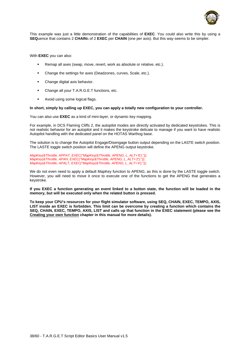

This example was just a little demonstration of the capabilities of **EXEC**. You could also write this by using a **SEQ**uence that contains 2 **CHAIN**s of 2 **EXEC** per **CHAIN** (one per axis). But this way seems to be simpler.

With **EXEC** you can also:

- Remap all axes (swap, move, revert, work as absolute or relative, etc.).
- Change the settings for axes (Deadzones, curves, Scale, etc.).
- Change digital axis behavior.
- Change all your T.A.R.G.E.T functions, etc.
- Avoid using some logical flags.

#### **In short, simply by calling up EXEC, you can apply a totally new configuration to your controller.**

You can also use **EXEC** as a kind of mini-layer, or dynamic key mapping.

For example, in DCS Flaming Cliffs 2, the autopilot modes are directly activated by dedicated keystrokes. This is not realistic behavior for an autopilot and it makes the keystroke delicate to manage if you want to have realistic Autopilot handling with the dedicated panel on the HOTAS Warthog base.

The solution is to change the Autopilot Engage/Disengage button output depending on the LASTE switch position. The LASTE toggle switch position will define the APENG output keystroke.

*MapKey(&Throttle, APPAT, EXEC("MapKey(&Throttle, APENG, L\_ALT+'6');")); MapKey(&Throttle, APAH, EXEC("MapKey(&Throttle, APENG, L\_ALT+'2');")); MapKey(&Throttle, APALT, EXEC("MapKey(&Throttle, APENG, L\_ALT+'4');"));* 

We do not even need to apply a default MapKey function to APENG, as this is done by the LASTE toggle switch. However, you will need to move it once to execute one of the functions to get the APENG that generates a keystroke.

**If you EXEC a function generating an event linked to a button state, the function will be loaded in the memory, but will be executed only when the related button is pressed.** 

**To keep your CPU's resources for your flight simulator software, using SEQ, CHAIN, EXEC, TEMPO, AXIS, LIST inside an EXEC is forbidden. This limit can be overcome by creating a function which contains the SEQ, CHAIN, EXEC, TEMPO, AXIS, LIST and calls up that function in the EXEC statement (please see the Creating your own function chapter in this manual for more details).**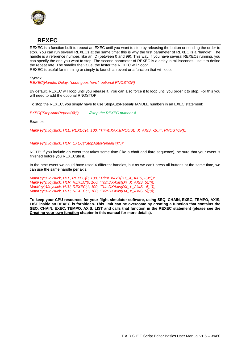

# **REXEC**

<span id="page-39-0"></span>REXEC is a function built to repeat an EXEC until you want to stop by releasing the button or sending the order to stop. You can run several REXECs at the same time: this is why the first parameter of REXEC is a "handle". The handle is a reference number, like an ID (between 0 and 99). This way, if you have several REXECs running, you can specify the one you want to stop. The second parameter of REXEC is a delay in milliseconds: use it to define the repeat rate. The smaller the value, the faster the REXEC will "loop".

REXEC is useful for trimming or simply to launch an event or a function that will loop.

Syntax:

*REXEC(Handle, Delay, "code goes here", optional RNOSTOP)* 

By default, REXEC will loop until you release it. You can also force it to loop until you order it to stop. For this you will need to add the optional RNOSTOP.

To stop the REXEC, you simply have to use StopAutoRepeat(HANDLE number) in an EXEC statement:

*EXEC("StopAutoRepeat(4);") //stop the REXEC number 4* 

Example:

*MapKey(&Joystick, H1L, REXEC(4, 100, "TrimDXAxis(MOUSE\_X\_AXIS, -10);", RNOSTOP));* 

### *MapKey(&Joystick, H1R, EXEC("StopAutoRepeat(4);"));*

NOTE: if you include an event that takes some time (like a chaff and flare sequence), be sure that your event is finished before you REXECute it.

In the next event we could have used 4 different handles, but as we can't press all buttons at the same time, we can use the same handle per axis.

*MapKey(&Joystick, H1L, REXEC(0, 100, "TrimDXAxis(DX\_X\_AXIS, -5);")); MapKey(&Joystick, H1R, REXEC(0, 100, "TrimDXAxis(DX\_X\_AXIS, 5);")); MapKey(&Joystick, H1U, REXEC(1, 100, "TrimDXAxis(DX\_Y\_AXIS, -5);")); MapKey(&Joystick, H1D, REXEC(1, 100, "TrimDXAxis(DX\_Y\_AXIS, 5);"));* 

**To keep your CPU resources for your flight simulator software, using SEQ, CHAIN, EXEC, TEMPO, AXIS, LIST inside an REXEC is forbidden. This limit can be overcome by creating a function that contains the SEQ, CHAIN, EXEC, TEMPO, AXIS, LIST and calls that function in the REXEC statement (please see the Creating your own function chapter in this manual for more details).**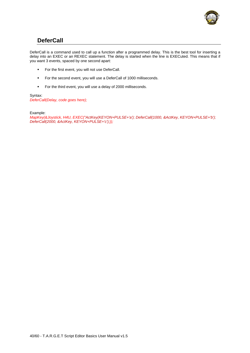

# **DeferCall**

<span id="page-40-0"></span>DeferCall is a command used to call up a function after a programmed delay. This is the best tool for inserting a delay into an EXEC or an REXEC statement. The delay is started when the line is EXECuted. This means that if you want 3 events, spaced by one second apart:

- **For the first event, you will not use DeferCall.**
- **For the second event, you will use a DeferCall of 1000 milliseconds.**
- For the third event, you will use a delay of 2000 milliseconds.

Syntax: *DeferCall(Delay, code goes here);* 

Example:

*MapKey(&Joystick, H4U, EXEC("ActKey(KEYON+PULSE+'a'); DeferCall(1000, &ActKey, KEYON+PULSE+'b'); DeferCall(2000, &ActKey, KEYON+PULSE+'c');));*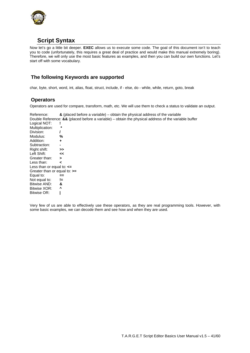

# **Script Syntax**

<span id="page-41-0"></span>Now let's go a little bit deeper. **EXEC** allows us to execute some code. The goal of this document isn't to teach you to code (unfortunately, this requires a great deal of practice and would make this manual extremely boring). Therefore, we will only use the most basic features as examples, and then you can build our own functions. Let's start off with some vocabulary.

# <span id="page-41-1"></span>**The following Keywords are supported**

[char, byte, short, word, int, alias, float, struct, include, if - else, do - while, while, return, goto, break](#page-1-0) 

# **Operators**

<span id="page-41-2"></span>Operators are used for compare, transform, math, etc. We will use them to check a status to validate an output.

Reference: **&** (placed before a variable) – obtain the physical address of the variable Double Reference: **&&** (placed before a variable) – obtain the physical address of the variable buffer Logical NOT: **! Multiplication:**<br>Division: / Division: Modulus: **%** Addition: **+** Subtraction: **-** Right shift: **>>**  Left Shift: **<<**  Greater than: **>**  Less than: **<** Less than or equal to: **<=**  Greater than or equal to: **>=**  Equal to: **==** Not equal to: **!=** Bitwise AND: **&** Bitwise XOR: **^** Bitwise OR: **|**

Very few of us are able to effectively use these operators, as they are real programming tools. However, with some basic examples, we can decode them and see how and when they are used.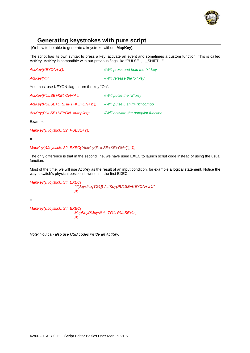

# **Generating keystrokes with pure script**

<span id="page-42-0"></span>(Or how to be able to generate a keystroke without **MapKey**).

The script has its own syntax to press a key, activate an event and sometimes a custom function. This is called ActKey. ActKey is compatible with our previous flags like "PULSE+, L\_SHIFT…"

| ActKey(KEYON+'x');                            | //Will press and hold the "x" key      |
|-----------------------------------------------|----------------------------------------|
| ActKey('x');                                  | //Will release the "x" key             |
| You must use KEYON flag to turn the key "On". |                                        |
| ActKey(PULSE+KEYON+'A');                      | //Will pulse the "a" key               |
| ActKey(PULSE+L_SHIFT+KEYON+'b');              | //Will pulse L shift+ "b" combo        |
| ActKey(PULSE+KEYON+autopilot);                | //Will activate the autopilot function |
|                                               |                                        |

Example:

*MapKey(&Joystick, S2, PULSE+'j');* 

=

*MapKey(&Joystick, S2, EXEC("ActKey(PULSE+KEYON+'j');"));*

The only difference is that in the second line, we have used EXEC to launch script code instead of using the usual function.

Most of the time, we will use ActKey as the result of an input condition, for example a logical statement. Notice the way a switch's physical position is written in the first EXEC.



*Note: You can also use USB codes inside an ActKey.*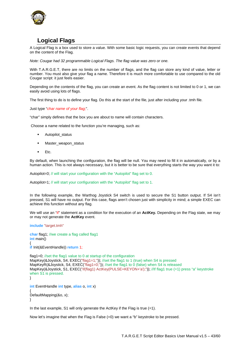

# **Logical Flags**

<span id="page-43-0"></span>A Logical Flag is a box used to store a value. With some basic logic requests, you can create events that depend on the content of the Flag.

*Note: Cougar had 32 programmable Logical Flags. The flag value was zero or one.* 

With T.A.R.G.E.T, there are no limits on the number of flags, and the flag can store any kind of value, letter or number. You must also give your flag a name. Therefore it is much more comfortable to use compared to the old Cougar script: it just feels easier.

Depending on the contents of the flag, you can create an event. As the flag content is not limited to 0 or 1, we can easily avoid using lots of flags.

The first thing to do is to define your flag. Do this at the start of the file, just after including your .tmh file.

Just type "*char name of your flag;*".

"char" simply defines that the box you are about to name will contain characters.

Choose a name related to the function you're managing, such as:

- Autopilot\_status
- Master\_weapon\_status
- Etc.

By default, when launching the configuration, the flag will be null. You may need to fill it in automatically, or by a human action. This is not always necessary, but it is better to be sure that everything starts the way you want it to:

Autopilot=0; // will start your configuration with the "Autopilot" flag set to 0.

Autopilot=1; // will start your configuration with the "Autopilot" flag set to 1.

In the following example, the Warthog Joystick S4 switch is used to secure the S1 button output. If S4 isn't pressed, S1 will have no output. For this case, flags aren't chosen just with simplicity in mind; a simple EXEC can achieve this function without any flag.

We will use an "if" statement as a condition for the execution of an **ActKey.** Depending on the Flag state, we may or may not generate the **ActKey** event.

**include** "target.tmh"

**char** flag1; //we create a flag called flag1 **int** main() { **if** Init(&EventHandle)) **return** 1;

flag1=0; //set the flag1 value to 0 at startup of the configuration MapKey(&Joystick, S4, EXEC("flag1=1;")); //set the flag1 to 1 (true) when S4 is pressed MapKeyR(&Joystick, S4, EXEC("flag1=0;")); //set the flag1 to 0 (false) when S4 is released MapKey(&Joystick, S1, EXEC("if(flag1) ActKey(PULSE+KEYON+'a');")); //If flag1 true (=1) press "a" keystroke when S1 is pressed. }

```
int EventHandle int type, alias o, int x)
{ 
DefaultMapping(&o, x); 
}
```
In the last example, S1 will only generate the ActKey if the Flag is true  $(=1)$ .

Now let's imagine that when the Flag is False (=0) we want a "b" keystroke to be pressed.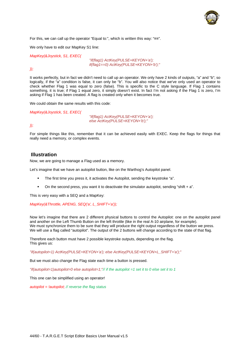

For this, we can call up the operator "Equal to:", which is written this way: "**==**".

We only have to edit our MapKey S1 line:

*MapKey(&Joystick, S1, EXEC(* 

 *"if(flag1) ActKey(PULSE+KEYON+'a'); if(flag1==0) ActKey(PULSE+KEYON+'b');"* 

### *));*

It works perfectly, but in fact we didn't need to call up an operator. We only have 2 kinds of outputs, "a" and "b"; so logically, if the "a" condition is false, it can only be "b". You will also notice that we've only used an operator to check whether Flag 1 was equal to zero (false). This is specific to the C style language. If Flag 1 contains something, it is true; if Flag 1 equal zero, it simply doesn't exist. In fact I'm not asking if the Flag 1 is zero, I'm asking if Flag 1 has been created. A flag is created only when it becomes true.

We could obtain the same results with this code:

*MapKey(&Joystick, S1, EXEC(* 

 *"if(flag1) ActKey(PULSE+KEYON+'a'); else ActKey(PULSE+KEYON+'b');"* 

### *));*

For simple things like this, remember that it can be achieved easily with EXEC. Keep the flags for things that really need a memory, or complex events.

### <span id="page-44-0"></span>**Illustration**

Now, we are going to manage a Flag used as a memory.

Let's imagine that we have an autopilot button, like on the Warthog's Autopilot panel.

- The first time you press it, it activates the Autopilot, sending the keystroke "a".
- $\blacksquare$  On the second press, you want it to deactivate the simulator autopilot, sending "shift  $+ a$ ".

This is very easy with a SEQ and a MapKey:

*MapKey(&Throttle, APENG, SEQ('a', L\_SHIFT+'a'));* 

Now let's imagine that there are 2 different physical buttons to control the Autopilot: one on the autopilot panel and another on the Left Thumb Button on the left throttle (like in the real A-10 airplane, for example). We must synchronize them to be sure that they will produce the right output regardless of the button we press. We will use a flag called "autopilot". The output of the 2 buttons will change according to the state of that flag.

Therefore each button must have 2 possible keystroke outputs, depending on the flag. This gives us:

*"if(autopilot=1) ActKey(PULSE+KEYON+'a'); else ActKey(PULSE+KEYON+L\_SHIFT+'a');"*

But we must also change the Flag state each time a button is pressed.

*"if(autopilot=1)autopilot=0 else autopilot=1;"// if the autopilot =1 set it to 0 else set it to 1*

This one can be simplified using an operator!

*autopilot = !autopilot; // reverse the flag status*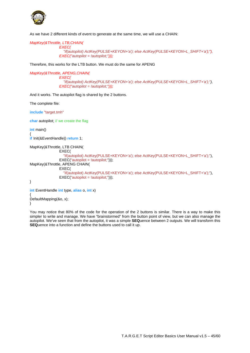

As we have 2 different kinds of event to generate at the same time, we will use a CHAIN:

*MapKey(&Throttle, LTB,CHAIN( EXEC(* 

 *"if(autopilot) ActKey(PULSE+KEYON+'a'); else ActKey(PULSE+KEYON+L\_SHIFT+'a');"), EXEC("autopilot = !autopilot;")));*

Therefore, this works for the LTB button. We must do the same for APENG

*MapKey(&Throttle, APENG,CHAIN( EXEC( "if(autopilot) ActKey(PULSE+KEYON+'a'); else ActKey(PULSE+KEYON+L\_SHIFT+'a');"), EXEC("autopilot = !autopilot;")));* 

And it works. The autopilot flag is shared by the 2 buttons.

The complete file:

**include** "target.tmh"

**char** autopilot; // we create the flag

**int** main()

{ **if** Init(&EventHandle)) **return** 1;

```
MapKey(&Throttle, LTB,CHAIN( 
                 EXEC( 
                    "if(autopilot) ActKey(PULSE+KEYON+'a'); else ActKey(PULSE+KEYON+L_SHIFT+'a');"), 
                EXEC("autopilot = !autopilot;")));
MapKey(&Throttle, APENG CHAIN(
                 EXEC( 
                    "if(autopilot) ActKey(PULSE+KEYON+'a'); else ActKey(PULSE+KEYON+L_SHIFT+'a');"), 
                EXEC("auto pilot = !autopilot;"));
}
```

```
int EventHandle int type, alias o, int x)
{ 
DefaultMapping(&o, x); 
}
```
You may notice that 80% of the code for the operation of the 2 buttons is similar. There is a way to make this simpler to write and manage. We have "brainstormed" from the button point of view, but we can also manage the autopilot. We've seen that from the autopilot, it was a simple **SEQ**uence between 2 outputs. We will transform this **SEQ**uence into a function and define the buttons used to call it up.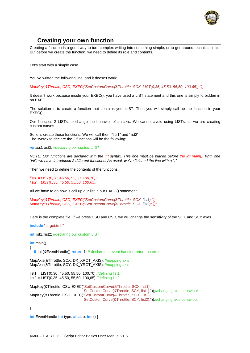

# **Creating your own function**

<span id="page-46-0"></span>Creating a function is a good way to turn complex writing into something simple, or to get around technical limits. But before we create the function, we need to define its role and contents.

Let's start with a simple case.

You've written the following line, and it doesn't work:

*MapKey(&Throttle, CSD, EXEC("SetCustomCurve(&Throttle, SCX, LIST(0,35, 45,50, 55,50, 100,65));"));*

It doesn't work because inside your EXEC(), you have used a LIST statement and this one is simply forbidden in an EXEC.

The solution is to create a function that contains your LIST. Then you will simply call up the function in your EXEC<sub>()</sub>.

Our file uses 2 LISTs, to change the behavior of an axis. We cannot avoid using LISTs, as we are creating custom curves.

So let's create these functions. We will call them "list1" and "list2" The syntax to declare the 2 functions will be the following:

*int list1, list2; //declaring our custom LIST*

*NOTE: Our functions are declared with the int syntax. This one must be placed before the int main(). With one "int", we have introduced 2 different functions. As usual, we've finished the line with a ";".* 

Then we need to define the contents of the functions:

*list1 = LIST(0,30, 45,50, 55,50, 100,70); list2 = LIST(0,35, 45,50, 55,50, 100,65);* 

All we have to do now is call up our list in our EXEC() statement:

*MapKey(&Throttle, CSD, EXEC("SetCustomCurve(&Throttle, SCX, list1);")); MapKey(&Throttle, CSU, EXEC("SetCustomCurve(&Throttle, SCX, list2);"));*

Here is the complete file. If we press CSU and CSD, we will change the sensitivity of the SCX and SCY axes.

**include** "target.tmh"

**int** list1, list2; //declaring our custom LIST

**int** main()

{

**if** Init(&EventHandle)) **return** 1; // declare the event handler, return on error

MapAxis(&Throttle, SCX, DX\_XROT\_AXIS); //mapping axis MapAxis(&Throttle, SCY, DX\_YROT\_AXIS); //mapping axis

list1 = LIST(0,30, 45,50, 55,50, 100,70);//defining list1 list2 = LIST(0,35, 45,50, 55,50, 100,65);//defining list2

MapKey(&Throttle, CSU EXEC("SetCustomCurve(&Throttle, SCX, list1); SetCustomCurve(&Throttle, SCY, list1);"));//changing axis behaviour MapKey(&Throttle, CSD EXEC("SetCustomCurve(&Throttle, SCX, list2); SetCustomCurve(&Throttle, SCY, list2);"));//changing axis behaviour

}

**int** EventHandle **int** type, **alias** o, **int** x) {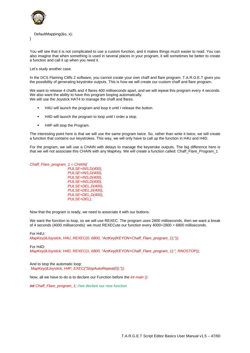

### DefaultMapping(&o, x);

}

You will see that it is not complicated to use a custom function, and it makes things much easier to read. You can also imagine that when something is used in several places in your program, it will sometimes be better to create a function and call it up when you need it.

Let's study another case.

In the DCS Flaming Cliffs 2 software, you cannot create your own chaff and flare program. T.A.R.G.E.T gives you the possibility of generating keystroke outputs. This is how we will create our custom chaff and flare program.

We want to release 4 chaffs and 4 flares 400 milliseconds apart, and we will repeat this program every 4 seconds. We also want the ability to have this program looping automatically. We will use the Joystick HAT4 to manage the chaff and flares.

- H4U will launch the program and loop it until I release the button.
- H4D will launch the program to loop until I order a stop.
- **H4P** will stop the Program.

The interesting point here is that we will use the same program twice. So, rather than write it twice, we will create a function that contains our keystrokes. This way, we will only have to call up the function in H4U and H4D.

For the program, we will use a CHAIN with delays to manage the keystroke outputs. The big difference here is that we will not associate this CHAIN with any MapKey. We will create a function called: Chaff\_Flare\_Program\_1

*Chaff\_Flare\_program\_1 = CHAIN( PULSE+INS,D(400), PULSE+INS,D(400), PULSE+INS,D(400), PULSE+INS,D(400), PULSE+DEL,D(400), PULSE+DEL,D(400), PULSE+DEL,D(400), PULSE+DEL);* 

Now that the program is ready, we need to associate it with our buttons.

We want the function to loop, so we will use REXEC. The program uses 2800 milliseconds, then we want a break of 4 seconds (4000 milliseconds): we must REXECute our function every 4000+2800 = 6800 milliseconds.

For H4U: *MapKey(&Joystick, H4U, REXEC(0, 6800, "ActKey(KEYON+Chaff\_Flare\_program\_1);"));* 

### For H4D:

*MapKey(&Joystick, H4D, REXEC(1, 6800, "ActKey(KEYON+Chaff\_Flare\_program\_1);", RNOSTOP));* 

And to stop the automatic loop:  *MapKey(&Joystick, H4P, EXEC("StopAutoRepeat(0);"));* 

Now, all we have to do is to declare our Function before the *int main ():* 

*int Chaff\_Flare\_program\_1; //we declare our new function*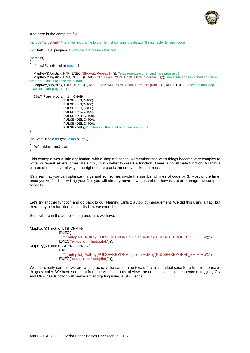

#### And here is the complete file:

**include** "target.tmh" //here we link this file to the file that contains the default Thrustmaster function code

**int** Chaff\_Flare\_program\_1; //we declare our new function

**int** main()

{

**if** Init(&EventHandle)) **return** 1;

 MapKey(&Joystick, H4P, EXEC("StopAutoRepeat(1);")); //stop repeating chaff and flare program 1 MapKey(&Joystick, H4U, REXEC(0, 6800, "ActKey(KEYON+Chaff\_Flare\_program\_1);")); //execute and loop chaff and flare program 1 until I release the button

MapKey(&Joystick, H4D, REXEC(1, 6800, "ActKey(KEYON+Chaff Flare\_program\_1);", RNOSTOP)); //execute and loop chaff and flare program 1

```
 Chaff_Flare_program_1 = CHAIN( 
                      PUI SE+INS, D(400).
                       PULSE+INS,D(400), 
                       PULSE+INS,D(400), 
                      PULSE+INS, D(400),
                       PULSE+DEL,D(400), 
                       PULSE+DEL,D(400), 
                       PULSE+DEL,D(400), 
                       PULSE+DEL); //contents of the chaff and flare program 1
} 
int EventHandle int type, alias o, int x)
{ 
   DefaultMapping(&o, x);
```

```
}
```
This example was a little application, with a simple function. Remember that when things become very complex to write, or repeat several times, it's simply much better to create a function. There is no ultimate function. As things can be done in several ways, the right one to use is the one you like the most.

It's clear that you can optimize things and sometimes divide the number of lines of code by 3. Most of the time, once you've finished writing your file, you will already have new ideas about how to better manage the complex aspects.

Let's try another function and go back to our Flaming Cliffs 2 autopilot management. We did this using a flag, but there may be a function to simplify how we code this.

Somewhere in the autopilot flag program, we have:

```
MapKey(&Throttle, LTB CHAIN(
                 EXEC( 
                    "if(autopilot) ActKey(PULSE+KEYON+'a'); else ActKey(PULSE+KEYON+L_SHIFT+'a');"), 
                EXEC("autoplot = !autoplot;"));
MapKey(&Throttle, APENG CHAIN(
                 EXEC( 
                    "if(autopilot) ActKey(PULSE+KEYON+'a'); else ActKey(PULSE+KEYON+L_SHIFT+'a');"), 
                 EXEC("autopilot = !autopilot;")));
```
We can clearly see that we are writing exactly the same thing twice. This is the ideal case for a function to make things simpler. We have seen that from the Autopilot point of view, the output is a simple sequence of toggling ON and OFF. Our function will manage that toggling using a SEQuence.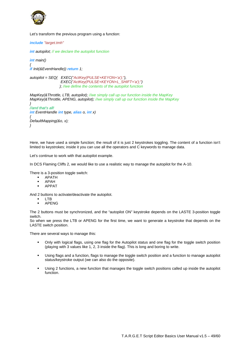

Let's transform the previous program using a function:

*include "target.tmh"*

*int autopilot; // we declare the autopilot function*

*int main() { if(Init(&EventHandle)) return 1;* 

*autopilot = SEQ( EXEC("ActKey(PULSE+KEYON+'a');"), EXEC("ActKey(PULSE+KEYON+L\_SHIFT+'a');") ); //we define the contents of the autopilot function*

*MapKey(&Throttle, LTB, autopilot); //we simply call up our function inside the MapKey MapKey(&Throttle, APENG, autopilot); //we simply call up our function inside the MapKey* 

*} //and that's all! int EventHandle(int type, alias o, int x) { DefaultMapping(&o, x); }* 

Here, we have used a simple function; the result of it is just 2 keystrokes toggling. The content of a function isn't limited to keystrokes; inside it you can use all the operators and C keywords to manage data.

Let's continue to work with that autopilot example.

In DCS Flaming Cliffs 2, we would like to use a realistic way to manage the autopilot for the A-10.

There is a 3-position toggle switch:

- APATH
- APAH
- **APPAT**

And 2 buttons to activate/deactivate the autopilot.

- LTB
- **-** APENG

The 2 buttons must be synchronized, and the "autopilot ON" keystroke depends on the LASTE 3-position toggle switch.

So when we press the LTB or APENG for the first time, we want to generate a keystroke that depends on the LASTE switch position.

There are several ways to manage this:

- Only with logical flags, using one flag for the Autopilot status and one flag for the toggle switch position (playing with 3 values like 1, 2, 3 inside the flag). This is long and boring to write.
- Using flags and a function, flags to manage the toggle switch position and a function to manage autopilot status/keystroke output (we can also do the opposite).
- Using 2 functions, a new function that manages the toggle switch positions called up inside the autopilot function.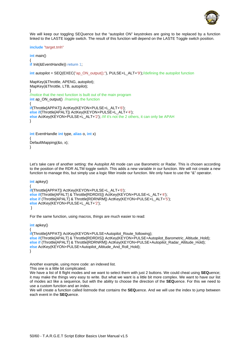

We will keep our toggling SEQuence but the "autopilot ON" keystrokes are going to be replaced by a function linked to the LASTE toggle switch. The result of this function will depend on the LASTE Toggle switch position.

**include** "target.tmh"

**int** main()

{ **if** Init(&EventHandle)) **return** 1;

**int** autopilot = SEQ(EXEC("ap\_ON\_output();"), PULSE+L\_ALT+'9');//defining the autopilot function

MapKey(&Throttle, APENG, autopilot); MapKey(&Throttle, LTB, autopilot); } //notice that the next function is built out of the main program **int** ap\_ON\_output() //naming the function { **if**(Throttle[APPAT]) ActKey(KEYON+PULSE+L\_ALT+'6'); **else if**(Throttle[APALT]) ActKey(KEYON+PULSE+L\_ALT+'4'); **else** ActKey(KEYON+PULSE+L\_ALT+'2'); //if it's not the 2 others, it can only be APAH }

**int** EventHandle **int** type, **alias** o, **int** x) { DefaultMapping(&o, x); }

Let's take care of another setting: the Autopilot Alt mode can use Barometric or Radar. This is chosen according to the position of the RDR ALTM toggle switch. This adds a new variable in our function. We will not create a new function to manage this, but simply use a logic filter inside our function. We only have to use the "&" operator.

```
int apkey() 
{ 
if(Throttle[APPAT]) ActKey(KEYON+PULSE+L_ALT+'6'); 
else if(Throttle[APALT] & Throttle[RDRDIS]) ActKey(KEYON+PULSE+L_ALT+'4'); 
else if (Throttle[APALT] & Throttle[RDRNRM]) ActKey(KEYON+PULSE+L_ALT+'5'); 
else ActKey(KEYON+PULSE+L_ALT+'2'); 
 }
```
For the same function, using macros, things are much easier to read:

**int** apkey()

{ **if**(Throttle[APPAT]) ActKey(KEYON+PULSE+Autopilot\_Route\_following); **else if**(Throttle[APALT] & Throttle[RDRDIS]) ActKey(KEYON+PULSE+Autopilot\_Barometric\_Altitude\_Hold); **else if** (Throttle[APALT] & Throttle[RDRNRM]) ActKey(KEYON+PULSE+Autopilot\_Radar\_Altitude\_Hold); **else** ActKey(KEYON+PULSE+Autopilot\_Altitude\_And\_Roll\_Hold); }

Another example, using more code: an indexed list.

This one is a little bit complicated.

We have a list of 8 flight modes and we want to select them with just 2 buttons. We could cheat using **SEQ**uence; it may make the things very easy to write. But what we want is a little bit more complex. We want to have our list of modes act like a sequence, but with the ability to choose the direction of the **SEQ**uence. For this we need to use a custom function and an index.

We will create a function called listmode that contains the **SEQ**uence. And we will use the index to jump between each event in the **SEQ**uence.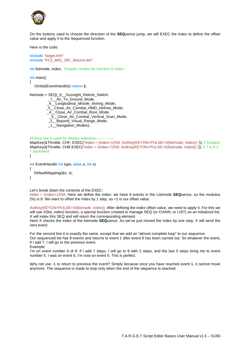

On the buttons used to choose the direction of the **SEQ**uence jump, we will EXEC the index to define the offset value and apply it to the Sequenced function.

Here is the code:

**include** "target.tmh" **include** "FC2\_MIG\_29C\_Macros.ttm"

**int listmode, index; //master modes list function & index** 

**int** main()

{

**if**(Init(&EventHandle)) **return 1**;

listmode = SEQ(\_8\_\_Gunsight\_Reticle\_Switch,

\_7\_\_Air\_To\_Ground\_Mode,

\_6\_\_Longitudinal\_Missile\_Aiming\_Mode,

\_5\_\_Close\_Air\_Combat\_HMD\_Helmet\_Mode,

\_4\_\_Close\_Air\_Combat\_Bore\_Mode,

\_3\_\_Close\_Air\_Combat\_Vertical\_Scan\_Mode,

\_2\_\_Beyond\_Visual\_Range\_Mode,

\_1\_\_Navigation\_Modes);

//China Hat is used for Modes selection--

MapKey(&Throttle, CHF, EXEC("index = (index+1)%8; ActKey(KEYON+PULSE+X(listmode, index));")); // forward MapKey(&Throttle, CHB,EXEC("index = (index+7)%8; ActKey(KEYON+PULSE+X(listmode, index));")); // 7 is 8-1 = backward

}

**int** EventHandle **int** type, **alias** o, **int** x)

DefaultMapping(&o, x);

}

{

Let's break down the contents of the EXEC:

index = (index+1)%8; Here we define the index: we have 8 events in the Listmode **SEQ**uence, so the modulus (%) is 8. We want to offset the index by 1 step, so +1 is our offset value.

ActKey(KEYON+PULSE+X(listmode, index)); After defining the index offset value, we need to apply it. For this we will use X(list, index) function, a special function created to manage SEQ (or CHAIN, or LIST) as an initialized list. X will index this SEQ and will return the corresponding element.

Here X checks the index of the listmode **SEQ**uence. As we've just moved the index by one step, X will send the next event.

For the second line it is exactly the same, except that we add an "almost complete loop" to our sequence.

Our sequenced list has 8 events and returns to event 1 after event 8 has been carried out. So whatever the event, if I add 7, I will go to the previous event.

Example:

I'm on event number 6 of 8: if I add 7 steps, I will go to 8 with 2 steps, and the last 5 steps bring me to event number 5. I was on event 6, I'm now on event 5. This is perfect.

Why not use -1 to return to previous the event? Simply because once you have reached event 1, it cannot move anymore. The sequence is made to loop only when the end of the sequence is reached.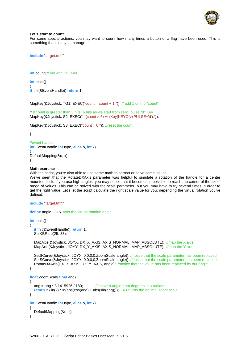

### **Let's start to count**

For some special actions, you may want to count how many times a button or a flag have been used. This is something that's easy to manage:

**include** "target.tmh"

**int** count: // init with value=0

**int** main()

{ **if** Init(&EventHandle)) **return** 1:

MapKey(&Joystick, TG1,  $EXEC("count = count + 1;"))$ ; // add 1 unit to "count"

// if count is greater than 5 hits (6 hits as we start from zero) pulse "d" Key MapKey(&Joystick, S2, EXEC("if (count > 5) ActKey(KEYON+PULSE+'d');"));

MapKey(&Joystick, S3, EXEC("count =  $0;$ ")); //reset the count

}

```
//event handler
int EventHandle int type, alias o, int x)
{ 
DefaultMapping(&o, x); 
}
```
#### **Math exercise**

With the script, you're also able to use some math to correct or solve some issues.

We've seen that the RotateDXAxis parameter was helpful to simulate a rotation of the handle for a center mounted stick. If you use high angles, you may notice that it becomes impossible to reach the corner of the axes' range of values. This can be solved with the scale parameter, but you may have to try several times in order to get the right value. Let's let the script calculate the right scale value for you, depending the virtual rotation you've defined.

```
include "target.tmh"
```
**define** angle -15 //set the virtual rotation angle

**int** main()

{

```
if Init(&EventHandle)) return 1;
 SetKBRate(25, 33);
```
MapAxis(&Joystick, JOYX, DX\_X\_AXIS, AXIS\_NORMAL, MAP\_ABSOLUTE); //map the X axis MapAxis(&Joystick, JOYY, DX\_Y\_AXIS, AXIS\_NORMAL, MAP\_ABSOLUTE); //map the Y axis

SetSCurve(&Joystick, JOYX, 0,0,0,0,ZoomScale angle)); //notice that the scale parameter has been replaced SetSCurve(&Joystick, JOYY, 0,0,0,0,ZoomScale angle)); //notice that the scale parameter has been replaced RotateDXAxis(DX\_X\_AXIS, DX\_Y\_AXIS, angle); //notice that the value has been replaced by our angle

```
} 
float ZoomScale(float ang) 
{ 
  ang = ang * 3.1415926 / 180; // convert angle from degrees into radians
  return 2 / ln(2) * ln(abs(cos(ang) + abs(sin(ang)))); // returns the optimal zoom scale
} 
int EventHandle int type, alias o, int x)
{ 
    DefaultMapping(&o, x); 
}
```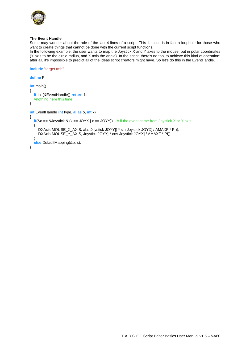

### **The Event Handle**

Some may wonder about the role of the last 4 lines of a script. This function is in fact a loophole for those who want to create things that cannot be done with the current script functions.

In the following example, the user wants to map the Joystick X and Y axes to the mouse, but in polar coordinates (Y axis to be the circle radius, and X axis the angle). In the script, there's no tool to achieve this kind of operation: after all, it's impossible to predict all of the ideas script creators might have. So let's do this in the EventHandle.

**include** "target.tmh"

```
define PI
int main() 
{ 
  if Init(&EventHandle)) return 1;
   //nothing here this time
} 
int EventHandle(int type, alias o, int x) 
{ 
  if(\&o == \& Joystick \&(x == JOYX \mid x == JOYY)) // if the event came from Joystick X or Y axis
   { 
     DXAxis MOUSE_X_AXIS, abs Joystick JOYY]) * sin Joystick JOYX] / AMAXF * PI));
     DXAxis MOUSE_Y_AXIS, Joystick JOYY] * cos Joystick JOYX] / AMAXF * PI));
 } 
   else DefaultMapping(&o, x); 
}
```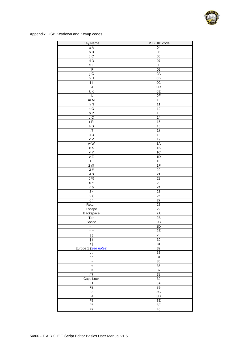

Appendix: USB Keydown and Keyup codes

| Key Name                  | USB HID code         |
|---------------------------|----------------------|
| a A                       | 04                   |
| bB                        | 05                   |
| $\mathtt{c}\ \mathtt{C}$  | 06                   |
| dD                        | 07                   |
| $\mathsf{e}\ \mathsf{E}$  | 08                   |
| fF                        | $\overline{09}$      |
| $g\overline{G}$           | 0A                   |
| h H                       | 0B                   |
| $\overline{11}$           | 0C                   |
| jJ                        | 0D                   |
| kK<br>ΙL                  | 0E<br>0 <sub>F</sub> |
| m M                       | 10                   |
| n N                       | 11                   |
| o O                       | $\overline{12}$      |
| p P                       | 13                   |
| qQ                        | 14                   |
| rR                        | 15                   |
| sS                        | 16                   |
| tT                        | $\overline{17}$      |
| u U                       | 18                   |
| v V                       | 19                   |
| w W                       | 1A                   |
| $\times$ X                | 1B                   |
| y Y                       | 1C                   |
| $\overline{z}$            | 1D                   |
| 1!                        | 1E                   |
| 2@                        | 1F                   |
| 3#                        | 20                   |
| 4\$                       | $\overline{21}$      |
| $5\%$                     | $\overline{22}$      |
| $6^{\wedge}$<br>7 &       | 23                   |
| $8*$                      | 24<br>25             |
| 9(                        | 26                   |
| $\overline{0}$ )          | $\overline{27}$      |
| Return                    | $\overline{28}$      |
| Escape                    | 29                   |
| Backspace                 | 2A                   |
| Tab                       | 2B                   |
| Space                     | 2C                   |
| $\overline{\phantom{a}}$  | 2D                   |
| $= +$                     | 2E                   |
| $\overline{\mathfrak{l}}$ | 2F                   |
| $\vert$ }                 | 30                   |
| ١I                        | 31                   |
| Europe 1 (See notes)      | 32                   |
| $\mathbf{r}$              | 33                   |
| Ξ                         | 34                   |
| $\ddot{\phantom{0}}$      | 35                   |
| , <                       | 36                   |
| $\geq$                    | $\overline{37}$      |
| $\sqrt{?}$                | $\overline{38}$      |
| Caps Lock                 | 39                   |
| F1                        | 3A                   |
| F2                        | 3B                   |
| F <sub>3</sub>            | $3\mathrm{C}$        |
| F4                        | $\overline{3D}$      |
| F5                        | 3E                   |
| F6                        | 3F                   |
| F7                        | 40                   |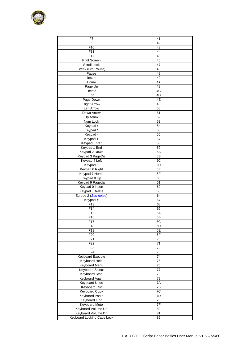

| F8                         | 41               |
|----------------------------|------------------|
| F <sub>9</sub>             | 42               |
| F <sub>10</sub>            | 43               |
| F11                        | 44               |
|                            |                  |
| F <sub>12</sub>            | 45               |
| Print Screen               | 46               |
| Scroll Lock                | 47               |
| Break (Ctrl-Pause)         | 48               |
| Pause                      | 48               |
| Insert                     | 49               |
| Home                       | 4A               |
|                            | 4B               |
| Page Up                    |                  |
| Delete                     | 4C               |
| End                        | 4D               |
| Page Down                  | 4E               |
| <b>Right Arrow</b>         | 4F               |
| Left Arrow                 | 50               |
| Down Arrow                 | 51               |
| Up Arrow                   | 52               |
| Num Lock                   | 53               |
|                            |                  |
| Keypad /                   | 54               |
| Keypad*                    | 55               |
| Keypad -                   | 56               |
| Keypad +                   | 57               |
| Keypad Enter               | 58               |
| Keypad 1 End               | 59               |
| Keypad 2 Down              | 5A               |
| Keypad 3 PageDn            | 5B               |
|                            |                  |
| Keypad 4 Left              | 5C               |
| Keypad 5                   | 5D               |
| Keypad 6 Right             | 5E               |
| Keypad 7 Home              | 5F               |
| Keypad 8 Up                | 60               |
| Keypad 9 PageUp            | 61               |
| Keypad 0 Insert            | 62               |
| Keypad . Delete            | 63               |
| Europe 2 (See notes)       | 64               |
|                            |                  |
| $Keypad =$                 | 67               |
| F <sub>13</sub>            | 68               |
| F14                        | 69               |
| F <sub>15</sub>            | 6A               |
| F <sub>16</sub>            | 6B               |
| F <sub>17</sub>            | 6C               |
| F18                        | 6D               |
| F19                        | 6E               |
| F20                        | 6F               |
|                            |                  |
| F21                        | 70               |
| F22                        | 71               |
| F <sub>23</sub>            | 72               |
| F24                        | $\overline{73}$  |
| <b>Keyboard Execute</b>    | 74               |
| Keyboard Help              | 75               |
| Keyboard Menu              | 76               |
| <b>Keyboard Select</b>     | 77               |
|                            |                  |
| Keyboard Stop              | 78               |
| Keyboard Again             | 79               |
| Keyboard Undo              | 7A               |
| Keyboard Cut               | $\overline{7B}$  |
| <b>Keyboard Copy</b>       | $\overline{7C}$  |
| <b>Keyboard Paste</b>      | $\overline{7D}$  |
| <b>Keyboard Find</b>       | 7E               |
| <b>Keyboard Mute</b>       | $\overline{7}$ F |
| Keyboard Volume Up         | 80               |
|                            |                  |
| Keyboard Volume Dn         | 81               |
| Keyboard Locking Caps Lock | 82               |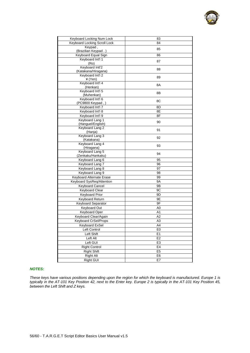| Keyboard Locking Num Lock    | 83             |
|------------------------------|----------------|
| Keyboard Locking Scroll Lock | 84             |
| Keypad,                      |                |
| (Brazilian Keypad.)          | 85             |
| Keyboard Equal Sign          | 86             |
| Keyboard Int'l 1             |                |
| (Ro)                         | 87             |
| Keyboard Intl'2              |                |
| (Katakana/Hiragana)          | 88             |
| Keyboard Int'l 2             |                |
| ¥ (Yen)                      | 89             |
| Keyboard Int'l 4             | 8A             |
| (Henkan)                     |                |
| Keyboard Int'l 5             | 8Β             |
| (Muhenkan)                   |                |
| Keyboard Int'l 6             | 8C             |
| (PC9800 Keypad,)             |                |
| Keyboard Int'l 7             | 8D             |
| Keyboard Int'l 8             | 8E             |
| Keyboard Int'l 9             | 8F             |
| Keyboard Lang 1              | 90             |
| (Hanguel/English)            |                |
| Keyboard Lang 2              | 91             |
| (Hanja)                      |                |
| Keyboard Lang 3              | 92             |
| (Katakana)                   |                |
| Keyboard Lang 4              | 93             |
| (Hiragana)                   |                |
| Keyboard Lang 5              | 94             |
| (Zenkaku/Hankaku)            |                |
| Keyboard Lang 6              | 95             |
| Keyboard Lang 7              | 96             |
| Keyboard Lang 8              | 97             |
| Keyboard Lang 9              | 98             |
| Keyboard Alternate Erase     | 99             |
| Keyboard SysReq/Attention    | <b>9A</b>      |
| <b>Keyboard Cancel</b>       | 9Β             |
| <b>Keyboard Clear</b>        | 9C             |
| <b>Keyboard Prior</b>        | 9D             |
| <b>Keyboard Return</b>       | 9Ε             |
| Keyboard Separator           | 9F             |
|                              |                |
| Keyboard Out                 | A <sub>0</sub> |
| <b>Keyboard Oper</b>         | Α1             |
| Keyboard Clear/Again         | A <sub>2</sub> |
| <b>Keyboard CrSel/Props</b>  | АЗ             |
| Keyboard ExSel               | A4             |
| Left Control                 | E0             |
| Left Shift                   | E1             |
| Left Alt                     | E <sub>2</sub> |
| Left GUI                     | E <sub>3</sub> |
| <b>Right Control</b>         | E4             |
| <b>Right Shift</b>           | E <sub>5</sub> |
| <b>Right Alt</b>             | E <sub>6</sub> |
|                              |                |
| Right GUI                    | E7             |

### *NOTES:*

*These keys have various positions depending upon the region for which the keyboard is manufactured. Europe 1 is typically in the AT-101 Key Position 42, next to the Enter key. Europe 2 is typically in the AT-101 Key Position 45, between the Left Shift and Z keys.*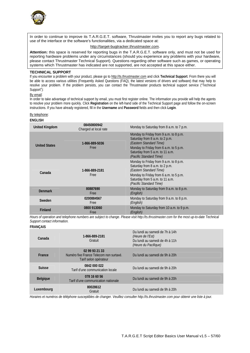

In order to continue to improve its T.A.R.G.E.T. software, Thrustmaster invites you to report any bugs related to use of the interface or the software's functionalities, via a dedicated space at:

### http://target-bugtracker.thrustmaster.com.

**Attention:** this space is reserved for reporting bugs in the T.A.R.G.E.T. software only, and must not be used for reporting hardware problems under any circumstances (should you experience any problems with your hardware, please contact Thrustmaster Technical Support). Questions regarding other software such as games, or operating systems which Thrustmaster has indicated are not supported, are not accepted at this space either.

#### **TECHNICAL SUPPORT**

If you encounter a problem with your product, please go to http://ts.thrustmaster.com and click **Technical Support**. From there you will be able to access various utilities (Frequently Asked Questions (FAQ), the latest versions of drivers and software) that may help to resolve your problem. If the problem persists, you can contact the Thrustmaster products technical support service ("Technical Support"):

### By email:

In order to take advantage of technical support by email, you must first register online. The information you provide will help the agents to resolve your problem more quickly. Click **Registration** on the left-hand side of the Technical Support page and follow the on-screen instructions. If you have already registered, fill in the **Username** and **Password** fields and then click **Login**.

#### By telephone:

#### **ENGLISH**

| <b>United Kingdom</b> | 08450800942<br>Charged at local rate | Monday to Saturday from 8 a.m. to 7 p.m.                                                                                                                                                                    |
|-----------------------|--------------------------------------|-------------------------------------------------------------------------------------------------------------------------------------------------------------------------------------------------------------|
| <b>United States</b>  | 1-866-889-5036<br>Free               | Monday to Friday from 9 a.m. to 8 p.m.<br>Saturday from 8 a.m. to 2 p.m.<br>(Eastern Standard Time)<br>Monday to Friday from 6 a.m. to 5 p.m.<br>Saturday from 5 a.m. to 11 a.m.<br>(Pacific Standard Time) |
| Canada                | 1-866-889-2181<br>Free               | Monday to Friday from 9 a.m. to 8 p.m.<br>Saturday from 8 a.m. to 2 p.m.<br>(Eastern Standard Time)<br>Monday to Friday from 6 a.m. to 5 p.m.<br>Saturday from 5 a.m. to 11 a.m.<br>(Pacific Standard Time) |
| <b>Denmark</b>        | 80887690<br>Free                     | Monday to Saturday from 9 a.m. to 8 p.m.<br>(English)                                                                                                                                                       |
| Sweden                | 0200884567<br>Free                   | Monday to Saturday from 9 a.m. to 8 p.m.<br>(English)                                                                                                                                                       |
| <b>Finland</b>        | 0800 913060<br>Free                  | Monday to Saturday from 10 a.m. to 9 p.m.<br>(English)                                                                                                                                                      |

*Hours of operation and telephone numbers are subject to change. Please visit http://ts.thrustmaster.com for the most up-to-date Technical Support contact information.*

### **FRANÇAIS**

| Canada          | 1-866-889-2181<br>Gratuit                                                          | Du lundi au samedi de 7h à 14h<br>(Heure de l'Est)<br>Du lundi au samedi de 4h à 11h<br>(Heure du Pacifique) |
|-----------------|------------------------------------------------------------------------------------|--------------------------------------------------------------------------------------------------------------|
| France          | 02 99 93 21 33<br>Numéro fixe France Telecom non surtaxé.<br>Tarif selon opérateur | Du lundi au samedi de 9h à 20h                                                                               |
| <b>Suisse</b>   | 0842 000 022<br>Tarif d'une communication locale                                   | Du lundi au samedi de 9h à 20h                                                                               |
| <b>Belgique</b> | 078 16 60 56<br>Tarif d'une communication nationale                                | Du lundi au samedi de 9h à 20h                                                                               |
| Luxembourg      | 80028612<br>Gratuit                                                                | Du lundi au samedi de 9h à 20h                                                                               |

*Horaires et numéros de téléphone susceptibles de changer. Veuillez consulter http://ts.thrustmaster.com pour obtenir une liste à jour.*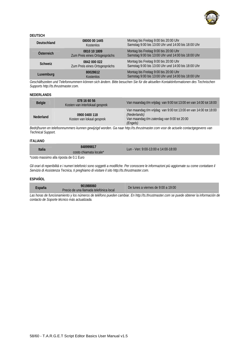

### **DEUTSCH**

| <b>Deutschland</b> | 08000 00 1445<br><b>Kostenlos</b>             | Montag bis Freitag 9:00 bis 20:00 Uhr<br>Samstag 9:00 bis 13:00 Uhr und 14:00 bis 18:00 Uhr |
|--------------------|-----------------------------------------------|---------------------------------------------------------------------------------------------|
| Österreich         | 0810 10 1809<br>Zum Preis eines Ortsgesprächs | Montag bis Freitag 9:00 bis 20:00 Uhr<br>Samstag 9:00 bis 13:00 Uhr und 14:00 bis 18:00 Uhr |
| <b>Schweiz</b>     | 0842 000 022<br>Zum Preis eines Ortsgesprächs | Montag bis Freitag 9:00 bis 20:00 Uhr<br>Samstag 9:00 bis 13:00 Uhr und 14:00 bis 18:00 Uhr |
| Luxemburg          | 80028612<br><b>Kostenlos</b>                  | Montag bis Freitag 9:00 bis 20:00 Uhr<br>Samstag 9:00 bis 13:00 Uhr und 14:00 bis 18:00 Uhr |
|                    |                                               |                                                                                             |

*Geschäftszeiten und Telefonnummern können sich ändern. Bitte besuchen Sie für die aktuellen Kontaktinformationen des Technischen Supports http://ts.thrustmaster.com.* 

### **NEDERLANDS**

| <b>Belgie</b>    | 078 16 60 56<br>Kosten van interlokaal gesprek | Van maandag t/m vrijdag van 9:00 tot 13:00 en van 14:00 tot 18:00                                                                            |
|------------------|------------------------------------------------|----------------------------------------------------------------------------------------------------------------------------------------------|
| <b>Nederland</b> | 0900 0400 118<br>Kosten van lokaal gesprek     | Van maandag t/m vrijdag van 9:00 tot 13:00 en van 14:00 tot 18:00<br>(Nederlands)<br>Van maandag t/m zaterdag van 9:00 tot 20:00<br>(Engels) |

*Bedrijfsuren en telefoonnummers kunnen gewijzigd worden. Ga naar http://ts.thrustmaster.com voor de actuele contactgegevens van Technical Support.* 

### **ITALIANO**

| <b>Italia</b> | 848999817<br>costo chiamata locale <sup>*</sup> | Lun - Ven: 9:00-13:00 e 14:00-18:00 |  |
|---------------|-------------------------------------------------|-------------------------------------|--|
|               |                                                 |                                     |  |

\*costo massimo alla riposta de 0.1 Euro

*Gli orari di reperibilità e i numeri telefonici sono soggetti a modifiche. Per conoscere le informazioni più aggiornate su come contattare il Servizio di Assistenza Tecnica, ti preghiamo di visitare il sito http://ts.thrustmaster.com.* 

### **ESPAÑOL**

| España | 901988060<br>Precio de una llamada telefónica local | De lunes a viernes de 9:00 a 19:00 |  |
|--------|-----------------------------------------------------|------------------------------------|--|
|        |                                                     |                                    |  |

Las horas de funcionamiento y los números de teléfono pueden cambiar. En http://ts.thrustmaster.com se puede obtener la información de *contacto de Soporte técnico más actualizada.*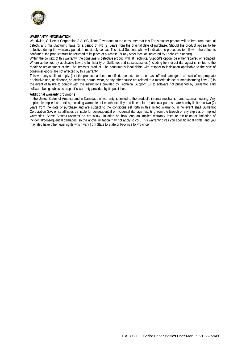

### **WARRANTY INFORMATION**

Worldwide, Guillemot Corporation S.A. ("Guillemot") warrants to the consumer that this Thrustmaster product will be free from material defects and manufacturing flaws for a period of two (2) years from the original date of purchase. Should the product appear to be defective during the warranty period, immediately contact Technical Support, who will indicate the procedure to follow. If the defect is confirmed, the product must be returned to its place of purchase (or any other location indicated by Technical Support).

Within the context of this warranty, the consumer's defective product will, at Technical Support's option, be either repaired or replaced. Where authorized by applicable law, the full liability of Guillemot and its subsidiaries (including for indirect damages) is limited to the repair or replacement of the Thrustmaster product. The consumer's legal rights with respect to legislation applicable to the sale of consumer goods are not affected by this warranty.

This warranty shall not apply: (1) if the product has been modified, opened, altered, or has suffered damage as a result of inappropriate or abusive use, negligence, an accident, normal wear, or any other cause not related to a material defect or manufacturing flaw; (2) in the event of failure to comply with the instructions provided by Technical Support; (3) to software not published by Guillemot, said software being subject to a specific warranty provided by its publisher.

#### **Additional warranty provisions**

In the United States of America and in Canada, this warranty is limited to the product's internal mechanism and external housing. Any applicable implied warranties, including warranties of merchantability and fitness for a particular purpose, are hereby limited to two (2) years from the date of purchase and are subject to the conditions set forth in this limited warranty. In no event shall Guillemot Corporation S.A. or its affiliates be liable for consequential or incidental damage resulting from the breach of any express or implied warranties. Some States/Provinces do not allow limitation on how long an implied warranty lasts or exclusion or limitation of incidental/consequential damages, so the above limitation may not apply to you. This warranty gives you specific legal rights, and you may also have other legal rights which vary from State to State or Province to Province.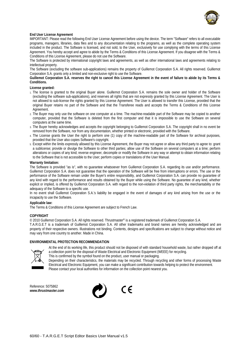

### **End User License Agreement**

IMPORTANT: Please read the following End User License Agreement before using the device. The term "Software" refers to all executable programs, managers, libraries, data files and to any documentation relating to the programs, as well as the complete operating system included in the product. The Software is licensed, and not sold, to the User, exclusively for use complying with the terms of this License Agreement. You hereby accept and agree to abide by the Terms & Conditions of this License Agreement. If you disagree with the Terms & Conditions of this License Agreement, please do not use the Software.

The Software is protected by international copyright laws and agreements, as well as other international laws and agreements relating to intellectual property.

The Software (excluding the software sub-applications) remains the property of Guillemot Corporation S.A. All rights reserved. Guillemot Corporation S.A. grants only a limited and non-exclusive right to use the Software.

**Guillemot Corporation S.A. reserves the right to cancel this License Agreement in the event of failure to abide by its Terms & Conditions.** 

#### **License granted:**

- 1. The license is granted to the original Buyer alone. Guillemot Corporation S.A. remains the sole owner and holder of the Software (excluding the software sub-applications), and reserves all rights that are not expressly granted by this License Agreement. The User is not allowed to sub-license the rights granted by this License Agreement. The User is allowed to transfer this License, provided that the original Buyer retains no part of the Software and that the Transferee reads and accepts the Terms & Conditions of this License Agreement
- 2. The Buyer may only use the software on one computer at a time. The machine-readable part of the Software may be copied to another computer, provided that the Software is deleted from the first computer and that it is impossible to use the Software on several computers at the same time.
- 3. The Buyer hereby acknowledges and accepts the copyright belonging to Guillemot Corporation S.A. The copyright shall in no event be removed from the Software, nor from any documentation, whether printed or electronic, provided with the Software.
- 4. The License grants the User the right to perform one (1) copy of the machine-readable part of the Software for archival purposes, provided that the User also copies Software's copyright.
- 5. Except within the limits expressly allowed by this License Agreement, the Buyer may not agree or allow any third party to agree to: grant a sublicense; provide or divulge the Software to other third parties; allow use of the Software on several computers at a time; perform alterations or copies of any kind; reverse engineer, decompile or modify the Software in any way or attempt to obtain information relating to the Software that is not accessible to the User; perform copies or translations of the User Manual.

#### **Warranty limitation:**

The Software is provided "as is", with no guarantee whatsoever from Guillemot Corporation S.A. regarding its use and/or performance. Guillemot Corporation S.A. does not guarantee that the operation of the Software will be free from interruptions or errors. The use or the performance of the Software remain under the Buyer's entire responsibility, and Guillemot Corporation S.A. can provide no guarantee of any kind with regard to the performance and results obtained by the Buyer while using the Software. No guarantee of any kind, whether explicit or implied, is offered by Guillemot Corporation S.A. with regard to the non-violation of third party rights, the merchantability or the adequacy of the Software to a specific use.

In no event shall Guillemot Corporation S.A.'s liability be engaged in the event of damages of any kind arising from the use or the incapacity to use the Software.

#### **Applicable law:**

The Terms & Conditions of this License Agreement are subject to French Law.

### **COPYRIGHT**

© 2010 Guillemot Corporation S.A. All rights reserved. Thrustmaster® is a registered trademark of Guillemot Corporation S.A.

T.A.R.G.E.T is a trademark of Guillemot Corporation S.A. All other trademarks and brand names are hereby acknowledged and are property of their respective owners. Illustrations not binding. Contents, designs and specifications are subject to change without notice and may vary from one country to another. Made in China.

#### **ENVIRONMENTAL PROTECTION RECOMMENDATION**



At the end of its working life, this product should not be disposed of with standard household waste, but rather dropped off at a collection point for the disposal of Waste Electrical and Electronic Equipment (WEEE) for recycling.

This is confirmed by the symbol found on the product, user manual or packaging.

Depending on their characteristics, the materials may be recycled. Through recycling and other forms of processing Waste Electrical and Electronic Equipment, you can make a significant contribution towards helping to protect the environment. Please contact your local authorities for information on the collection point nearest you.

 $\epsilon$ 

Reference: 5075862 *www.thrustmaster.com*